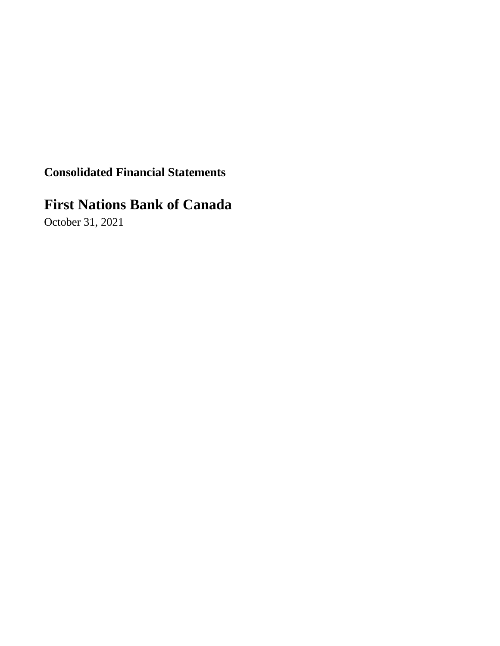**Consolidated Financial Statements** 

# **First Nations Bank of Canada**

October 31, 2021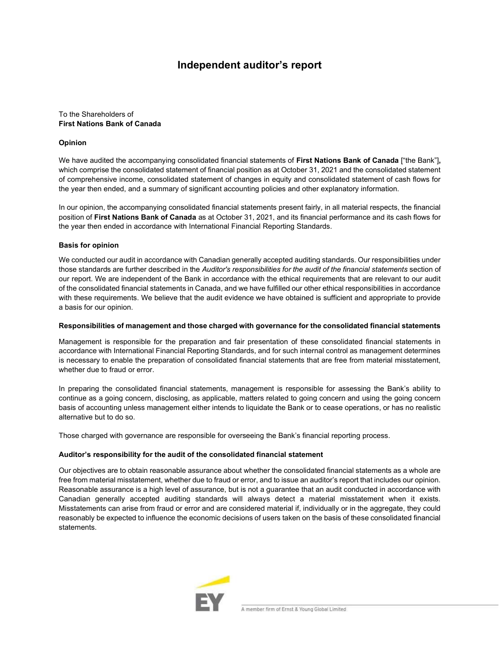# Independent auditor's report

#### To the Shareholders of First Nations Bank of Canada

#### Opinion

We have audited the accompanying consolidated financial statements of First Nations Bank of Canada ["the Bank"], which comprise the consolidated statement of financial position as at October 31, 2021 and the consolidated statement of comprehensive income, consolidated statement of changes in equity and consolidated statement of cash flows for the year then ended, and a summary of significant accounting policies and other explanatory information.

In our opinion, the accompanying consolidated financial statements present fairly, in all material respects, the financial position of First Nations Bank of Canada as at October 31, 2021, and its financial performance and its cash flows for the year then ended in accordance with International Financial Reporting Standards.

#### Basis for opinion

We conducted our audit in accordance with Canadian generally accepted auditing standards. Our responsibilities under those standards are further described in the Auditor's responsibilities for the audit of the financial statements section of our report. We are independent of the Bank in accordance with the ethical requirements that are relevant to our audit of the consolidated financial statements in Canada, and we have fulfilled our other ethical responsibilities in accordance with these requirements. We believe that the audit evidence we have obtained is sufficient and appropriate to provide a basis for our opinion.

#### Responsibilities of management and those charged with governance for the consolidated financial statements

Management is responsible for the preparation and fair presentation of these consolidated financial statements in accordance with International Financial Reporting Standards, and for such internal control as management determines is necessary to enable the preparation of consolidated financial statements that are free from material misstatement, whether due to fraud or error.

In preparing the consolidated financial statements, management is responsible for assessing the Bank's ability to continue as a going concern, disclosing, as applicable, matters related to going concern and using the going concern basis of accounting unless management either intends to liquidate the Bank or to cease operations, or has no realistic alternative but to do so.

Those charged with governance are responsible for overseeing the Bank's financial reporting process.

#### Auditor's responsibility for the audit of the consolidated financial statement

Our objectives are to obtain reasonable assurance about whether the consolidated financial statements as a whole are free from material misstatement, whether due to fraud or error, and to issue an auditor's report that includes our opinion. Reasonable assurance is a high level of assurance, but is not a guarantee that an audit conducted in accordance with Canadian generally accepted auditing standards will always detect a material misstatement when it exists. Misstatements can arise from fraud or error and are considered material if, individually or in the aggregate, they could reasonably be expected to influence the economic decisions of users taken on the basis of these consolidated financial statements.

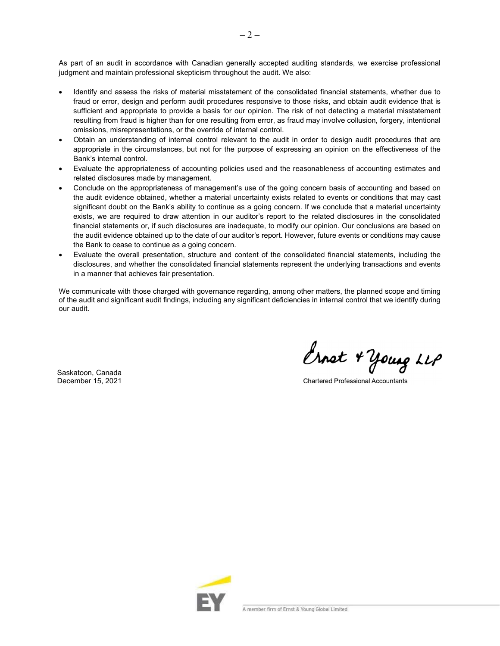As part of an audit in accordance with Canadian generally accepted auditing standards, we exercise professional judgment and maintain professional skepticism throughout the audit. We also:

- Identify and assess the risks of material misstatement of the consolidated financial statements, whether due to fraud or error, design and perform audit procedures responsive to those risks, and obtain audit evidence that is sufficient and appropriate to provide a basis for our opinion. The risk of not detecting a material misstatement resulting from fraud is higher than for one resulting from error, as fraud may involve collusion, forgery, intentional omissions, misrepresentations, or the override of internal control.
- Obtain an understanding of internal control relevant to the audit in order to design audit procedures that are appropriate in the circumstances, but not for the purpose of expressing an opinion on the effectiveness of the Bank's internal control.
- Evaluate the appropriateness of accounting policies used and the reasonableness of accounting estimates and related disclosures made by management.
- Conclude on the appropriateness of management's use of the going concern basis of accounting and based on the audit evidence obtained, whether a material uncertainty exists related to events or conditions that may cast significant doubt on the Bank's ability to continue as a going concern. If we conclude that a material uncertainty exists, we are required to draw attention in our auditor's report to the related disclosures in the consolidated financial statements or, if such disclosures are inadequate, to modify our opinion. Our conclusions are based on the audit evidence obtained up to the date of our auditor's report. However, future events or conditions may cause the Bank to cease to continue as a going concern.
- Evaluate the overall presentation, structure and content of the consolidated financial statements, including the disclosures, and whether the consolidated financial statements represent the underlying transactions and events in a manner that achieves fair presentation.

We communicate with those charged with governance regarding, among other matters, the planned scope and timing of the audit and significant audit findings, including any significant deficiencies in internal control that we identify during our audit.

Saskatoon, Canada December 15, 2021

Ernet + Young LLP

**Chartered Professional Accountants** 

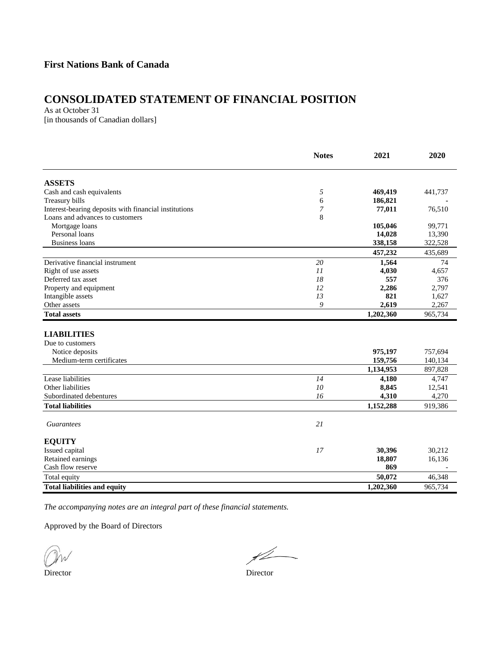# **CONSOLIDATED STATEMENT OF FINANCIAL POSITION**

As at October 31

[in thousands of Canadian dollars]

|                                                       | <b>Notes</b> | 2021      | 2020    |
|-------------------------------------------------------|--------------|-----------|---------|
| <b>ASSETS</b>                                         |              |           |         |
| Cash and cash equivalents                             | 5            | 469,419   | 441,737 |
| Treasury bills                                        | 6            | 186,821   |         |
| Interest-bearing deposits with financial institutions | 7            | 77,011    | 76,510  |
| Loans and advances to customers                       | 8            |           |         |
| Mortgage loans                                        |              | 105,046   | 99,771  |
| Personal loans                                        |              | 14,028    | 13,390  |
| <b>Business loans</b>                                 |              | 338,158   | 322,528 |
|                                                       |              | 457,232   | 435,689 |
| Derivative financial instrument                       | 20           | 1,564     | 74      |
| Right of use assets                                   | II           | 4,030     | 4,657   |
| Deferred tax asset                                    | 18           | 557       | 376     |
| Property and equipment                                | 12           | 2,286     | 2,797   |
| Intangible assets                                     | 13           | 821       | 1,627   |
| Other assets                                          | 9            | 2,619     | 2,267   |
| <b>Total assets</b>                                   |              | 1,202,360 | 965,734 |
| <b>LIABILITIES</b><br>Due to customers                |              |           |         |
| Notice deposits                                       |              | 975,197   | 757,694 |
| Medium-term certificates                              |              | 159,756   | 140,134 |
|                                                       |              | 1,134,953 | 897,828 |
| Lease liabilities                                     | 14           | 4,180     | 4,747   |
| Other liabilities                                     | 10           | 8,845     | 12,541  |
| Subordinated debentures                               | 16           | 4,310     | 4,270   |
| <b>Total liabilities</b>                              |              | 1,152,288 | 919,386 |
|                                                       |              |           |         |
| <b>Guarantees</b>                                     | 21           |           |         |
| <b>EQUITY</b>                                         |              |           |         |
| Issued capital                                        | 17           | 30,396    | 30,212  |
| Retained earnings                                     |              | 18,807    | 16,136  |
| Cash flow reserve                                     |              | 869       |         |
| Total equity                                          |              | 50,072    | 46,348  |
| <b>Total liabilities and equity</b>                   |              | 1,202,360 | 965,734 |

*The accompanying notes are an integral part of these financial statements.*

Approved by the Board of Directors

Director Director

 $H\!\!\!\!\!\!/$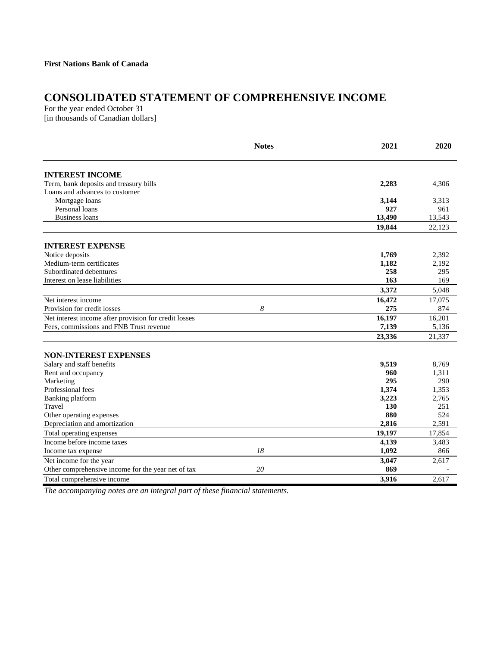# **CONSOLIDATED STATEMENT OF COMPREHENSIVE INCOME**

For the year ended October 31 [in thousands of Canadian dollars]

|                                                       | <b>Notes</b> | 2021   | 2020   |
|-------------------------------------------------------|--------------|--------|--------|
| <b>INTEREST INCOME</b>                                |              |        |        |
| Term, bank deposits and treasury bills                |              | 2,283  | 4,306  |
| Loans and advances to customer                        |              |        |        |
| Mortgage loans                                        |              | 3,144  | 3,313  |
| Personal loans                                        |              | 927    | 961    |
| <b>Business loans</b>                                 |              | 13,490 | 13.543 |
|                                                       |              | 19,844 | 22,123 |
| <b>INTEREST EXPENSE</b>                               |              |        |        |
| Notice deposits                                       |              | 1,769  | 2,392  |
| Medium-term certificates                              |              | 1,182  | 2,192  |
| Subordinated debentures                               |              | 258    | 295    |
| Interest on lease liabilities                         |              | 163    | 169    |
|                                                       |              | 3,372  | 5,048  |
| Net interest income                                   |              | 16,472 | 17,075 |
| Provision for credit losses                           | 8            | 275    | 874    |
| Net interest income after provision for credit losses |              | 16,197 | 16,201 |
| Fees, commissions and FNB Trust revenue               |              | 7,139  | 5,136  |
|                                                       |              | 23,336 | 21,337 |
| <b>NON-INTEREST EXPENSES</b>                          |              |        |        |
| Salary and staff benefits                             |              | 9,519  | 8,769  |
| Rent and occupancy                                    |              | 960    | 1,311  |
| Marketing                                             |              | 295    | 290    |
| Professional fees                                     |              | 1,374  | 1,353  |
| Banking platform                                      |              | 3,223  | 2,765  |
| Travel                                                |              | 130    | 251    |
| Other operating expenses                              |              | 880    | 524    |
| Depreciation and amortization                         |              | 2.816  | 2,591  |
| Total operating expenses                              |              | 19.197 | 17.854 |
| Income before income taxes                            |              | 4,139  | 3,483  |
| Income tax expense                                    | 18           | 1,092  | 866    |
| Net income for the year                               |              | 3,047  | 2,617  |
| Other comprehensive income for the year net of tax    | 20           | 869    |        |
| Total comprehensive income                            |              | 3,916  | 2,617  |

*The accompanying notes are an integral part of these financial statements.*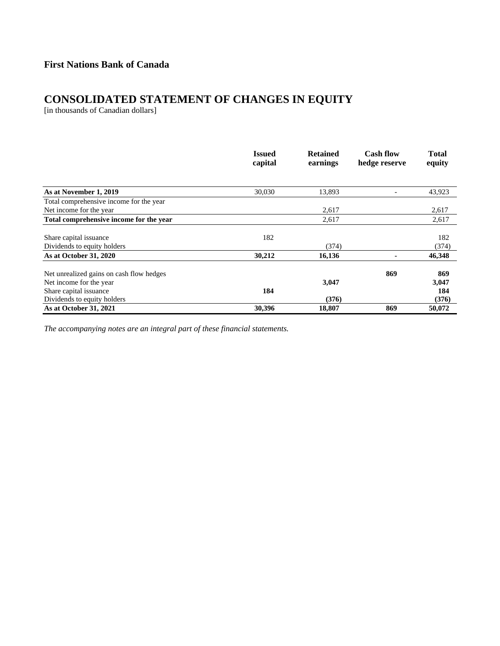# **CONSOLIDATED STATEMENT OF CHANGES IN EQUITY**

[in thousands of Canadian dollars]

|                                          | <b>Issued</b><br>capital | <b>Retained</b><br>earnings | Cash flow<br>hedge reserve | <b>Total</b><br>equity |
|------------------------------------------|--------------------------|-----------------------------|----------------------------|------------------------|
|                                          |                          |                             |                            |                        |
| As at November 1, 2019                   | 30,030                   | 13,893                      |                            | 43,923                 |
| Total comprehensive income for the year  |                          |                             |                            |                        |
| Net income for the year.                 |                          | 2,617                       |                            | 2,617                  |
| Total comprehensive income for the year  |                          | 2,617                       |                            | 2,617                  |
| Share capital issuance                   | 182                      |                             |                            | 182                    |
| Dividends to equity holders              |                          | (374)                       |                            | (374)                  |
| As at October 31, 2020                   | 30,212                   | 16,136                      |                            | 46,348                 |
| Net unrealized gains on cash flow hedges |                          |                             | 869                        | 869                    |
| Net income for the year.                 |                          | 3,047                       |                            | 3,047                  |
| Share capital issuance                   | 184                      |                             |                            | 184                    |
| Dividends to equity holders              |                          | (376)                       |                            | (376)                  |
| As at October 31, 2021                   | 30.396                   | 18,807                      | 869                        | 50,072                 |

*The accompanying notes are an integral part of these financial statements.*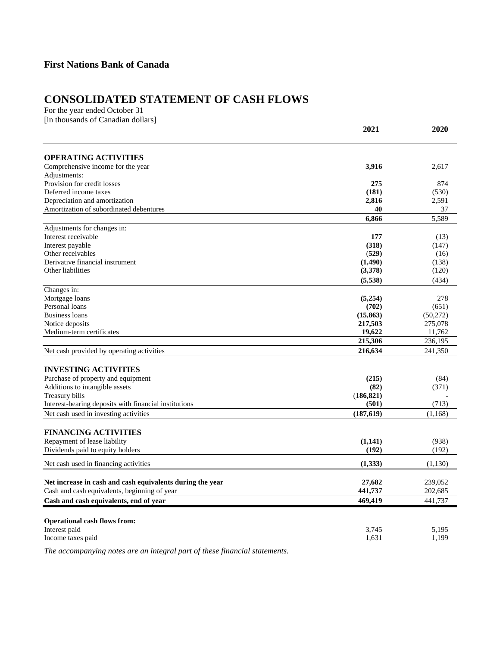# **CONSOLIDATED STATEMENT OF CASH FLOWS**

For the year ended October 31 [in thousands of Canadian dollars]

|                                                           | 2021       | 2020     |
|-----------------------------------------------------------|------------|----------|
| <b>OPERATING ACTIVITIES</b>                               |            |          |
| Comprehensive income for the year                         | 3,916      | 2.617    |
| Adjustments:                                              |            |          |
| Provision for credit losses                               | 275        | 874      |
| Deferred income taxes                                     | (181)      | (530)    |
| Depreciation and amortization                             | 2,816      | 2,591    |
| Amortization of subordinated debentures                   | 40         | 37       |
|                                                           | 6.866      | 5,589    |
| Adjustments for changes in:                               |            |          |
| Interest receivable                                       | 177        | (13)     |
| Interest payable                                          | (318)      | (147)    |
| Other receivables                                         | (529)      | (16)     |
| Derivative financial instrument                           | (1,490)    | (138)    |
| Other liabilities                                         | (3,378)    | (120)    |
|                                                           | (5,538)    | (434)    |
| Changes in:                                               |            |          |
| Mortgage loans                                            | (5,254)    | 278      |
| Personal loans                                            | (702)      | (651)    |
| <b>Business loans</b>                                     | (15, 863)  | (50,272) |
| Notice deposits                                           | 217,503    | 275,078  |
| Medium-term certificates                                  | 19,622     | 11,762   |
|                                                           | 215,306    | 236,195  |
| Net cash provided by operating activities                 | 216,634    | 241,350  |
|                                                           |            |          |
| <b>INVESTING ACTIVITIES</b>                               |            |          |
| Purchase of property and equipment                        | (215)      | (84)     |
| Additions to intangible assets                            | (82)       | (371)    |
| Treasury bills                                            | (186, 821) |          |
| Interest-bearing deposits with financial institutions     | (501)      | (713)    |
| Net cash used in investing activities                     | (187,619)  | (1,168)  |
|                                                           |            |          |
| <b>FINANCING ACTIVITIES</b>                               |            |          |
| Repayment of lease liability                              | (1,141)    | (938)    |
| Dividends paid to equity holders                          | (192)      | (192)    |
| Net cash used in financing activities                     | (1,333)    | (1,130)  |
| Net increase in cash and cash equivalents during the year | 27,682     | 239,052  |
| Cash and cash equivalents, beginning of year              | 441,737    |          |
|                                                           |            | 202,685  |
| Cash and cash equivalents, end of year                    | 469,419    | 441,737  |
|                                                           |            |          |
| <b>Operational cash flows from:</b>                       |            |          |
| Interest paid                                             | 3,745      | 5,195    |
| Income taxes paid                                         | 1,631      | 1,199    |

*The accompanying notes are an integral part of these financial statements.*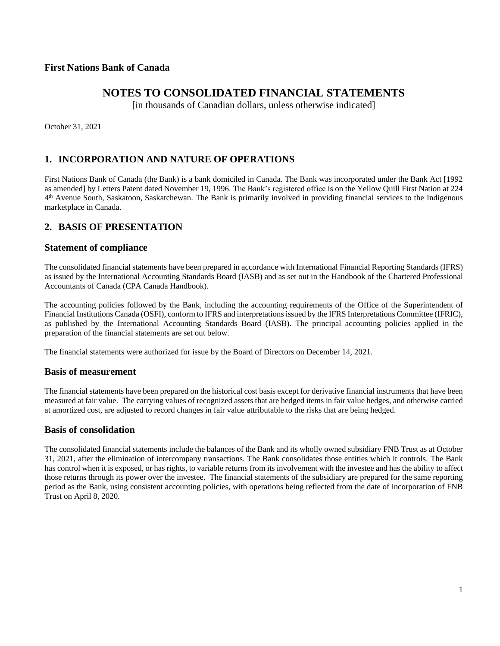[in thousands of Canadian dollars, unless otherwise indicated]

October 31, 2021

### **1. INCORPORATION AND NATURE OF OPERATIONS**

First Nations Bank of Canada (the Bank) is a bank domiciled in Canada. The Bank was incorporated under the Bank Act [1992 as amended] by Letters Patent dated November 19, 1996. The Bank's registered office is on the Yellow Quill First Nation at 224 4<sup>th</sup> Avenue South, Saskatoon, Saskatchewan. The Bank is primarily involved in providing financial services to the Indigenous marketplace in Canada.

### **2. BASIS OF PRESENTATION**

#### **Statement of compliance**

The consolidated financial statements have been prepared in accordance with International Financial Reporting Standards (IFRS) as issued by the International Accounting Standards Board (IASB) and as set out in the Handbook of the Chartered Professional Accountants of Canada (CPA Canada Handbook).

The accounting policies followed by the Bank, including the accounting requirements of the Office of the Superintendent of Financial Institutions Canada (OSFI), conform to IFRS and interpretations issued by the IFRS Interpretations Committee (IFRIC), as published by the International Accounting Standards Board (IASB). The principal accounting policies applied in the preparation of the financial statements are set out below.

The financial statements were authorized for issue by the Board of Directors on December 14, 2021.

#### **Basis of measurement**

The financial statements have been prepared on the historical cost basis except for derivative financial instruments that have been measured at fair value. The carrying values of recognized assets that are hedged items in fair value hedges, and otherwise carried at amortized cost, are adjusted to record changes in fair value attributable to the risks that are being hedged.

#### **Basis of consolidation**

The consolidated financial statements include the balances of the Bank and its wholly owned subsidiary FNB Trust as at October 31, 2021, after the elimination of intercompany transactions. The Bank consolidates those entities which it controls. The Bank has control when it is exposed, or has rights, to variable returns from its involvement with the investee and has the ability to affect those returns through its power over the investee. The financial statements of the subsidiary are prepared for the same reporting period as the Bank, using consistent accounting policies, with operations being reflected from the date of incorporation of FNB Trust on April 8, 2020.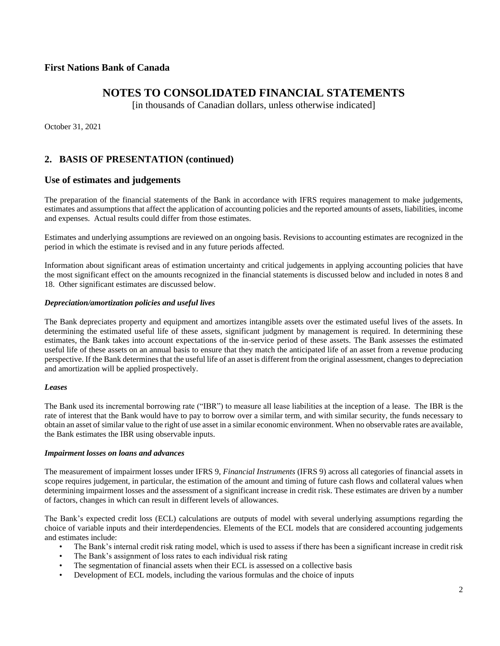[in thousands of Canadian dollars, unless otherwise indicated]

October 31, 2021

### **2. BASIS OF PRESENTATION (continued)**

#### **Use of estimates and judgements**

The preparation of the financial statements of the Bank in accordance with IFRS requires management to make judgements, estimates and assumptions that affect the application of accounting policies and the reported amounts of assets, liabilities, income and expenses. Actual results could differ from those estimates.

Estimates and underlying assumptions are reviewed on an ongoing basis. Revisions to accounting estimates are recognized in the period in which the estimate is revised and in any future periods affected.

Information about significant areas of estimation uncertainty and critical judgements in applying accounting policies that have the most significant effect on the amounts recognized in the financial statements is discussed below and included in notes 8 and 18. Other significant estimates are discussed below.

#### *Depreciation/amortization policies and useful lives*

The Bank depreciates property and equipment and amortizes intangible assets over the estimated useful lives of the assets. In determining the estimated useful life of these assets, significant judgment by management is required. In determining these estimates, the Bank takes into account expectations of the in-service period of these assets. The Bank assesses the estimated useful life of these assets on an annual basis to ensure that they match the anticipated life of an asset from a revenue producing perspective. If the Bank determines that the useful life of an asset is different from the original assessment, changes to depreciation and amortization will be applied prospectively.

#### *Leases*

The Bank used its incremental borrowing rate ("IBR") to measure all lease liabilities at the inception of a lease. The IBR is the rate of interest that the Bank would have to pay to borrow over a similar term, and with similar security, the funds necessary to obtain an asset of similar value to the right of use asset in a similar economic environment. When no observable rates are available, the Bank estimates the IBR using observable inputs.

#### *Impairment losses on loans and advances*

The measurement of impairment losses under IFRS 9, *Financial Instruments* (IFRS 9) across all categories of financial assets in scope requires judgement, in particular, the estimation of the amount and timing of future cash flows and collateral values when determining impairment losses and the assessment of a significant increase in credit risk. These estimates are driven by a number of factors, changes in which can result in different levels of allowances.

The Bank's expected credit loss (ECL) calculations are outputs of model with several underlying assumptions regarding the choice of variable inputs and their interdependencies. Elements of the ECL models that are considered accounting judgements and estimates include:

- The Bank's internal credit risk rating model, which is used to assess if there has been a significant increase in credit risk
- The Bank's assignment of loss rates to each individual risk rating
- The segmentation of financial assets when their ECL is assessed on a collective basis
- Development of ECL models, including the various formulas and the choice of inputs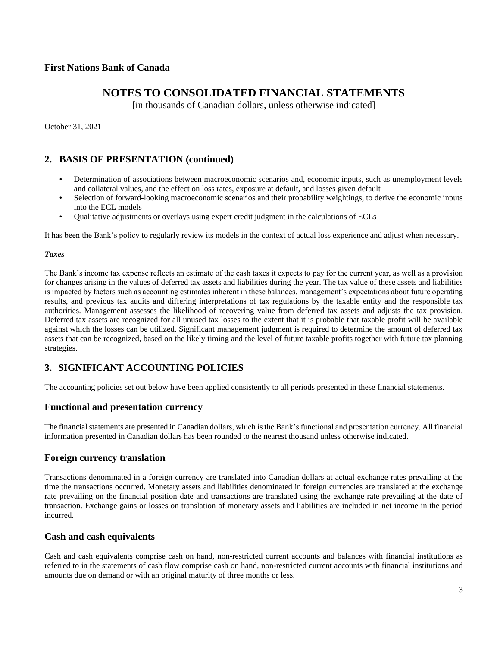[in thousands of Canadian dollars, unless otherwise indicated]

October 31, 2021

### **2. BASIS OF PRESENTATION (continued)**

- Determination of associations between macroeconomic scenarios and, economic inputs, such as unemployment levels and collateral values, and the effect on loss rates, exposure at default, and losses given default
- Selection of forward-looking macroeconomic scenarios and their probability weightings, to derive the economic inputs into the ECL models
- Qualitative adjustments or overlays using expert credit judgment in the calculations of ECLs

It has been the Bank's policy to regularly review its models in the context of actual loss experience and adjust when necessary.

#### *Taxes*

The Bank's income tax expense reflects an estimate of the cash taxes it expects to pay for the current year, as well as a provision for changes arising in the values of deferred tax assets and liabilities during the year. The tax value of these assets and liabilities is impacted by factors such as accounting estimates inherent in these balances, management's expectations about future operating results, and previous tax audits and differing interpretations of tax regulations by the taxable entity and the responsible tax authorities. Management assesses the likelihood of recovering value from deferred tax assets and adjusts the tax provision. Deferred tax assets are recognized for all unused tax losses to the extent that it is probable that taxable profit will be available against which the losses can be utilized. Significant management judgment is required to determine the amount of deferred tax assets that can be recognized, based on the likely timing and the level of future taxable profits together with future tax planning strategies.

### **3. SIGNIFICANT ACCOUNTING POLICIES**

The accounting policies set out below have been applied consistently to all periods presented in these financial statements.

#### **Functional and presentation currency**

The financial statements are presented in Canadian dollars, which is the Bank's functional and presentation currency. All financial information presented in Canadian dollars has been rounded to the nearest thousand unless otherwise indicated.

#### **Foreign currency translation**

Transactions denominated in a foreign currency are translated into Canadian dollars at actual exchange rates prevailing at the time the transactions occurred. Monetary assets and liabilities denominated in foreign currencies are translated at the exchange rate prevailing on the financial position date and transactions are translated using the exchange rate prevailing at the date of transaction. Exchange gains or losses on translation of monetary assets and liabilities are included in net income in the period incurred.

#### **Cash and cash equivalents**

Cash and cash equivalents comprise cash on hand, non-restricted current accounts and balances with financial institutions as referred to in the statements of cash flow comprise cash on hand, non-restricted current accounts with financial institutions and amounts due on demand or with an original maturity of three months or less.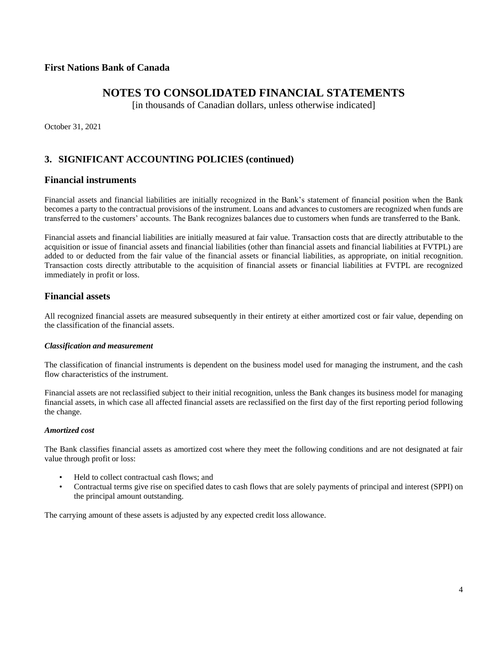[in thousands of Canadian dollars, unless otherwise indicated]

October 31, 2021

## **3. SIGNIFICANT ACCOUNTING POLICIES (continued)**

#### **Financial instruments**

Financial assets and financial liabilities are initially recognized in the Bank's statement of financial position when the Bank becomes a party to the contractual provisions of the instrument. Loans and advances to customers are recognized when funds are transferred to the customers' accounts. The Bank recognizes balances due to customers when funds are transferred to the Bank.

Financial assets and financial liabilities are initially measured at fair value. Transaction costs that are directly attributable to the acquisition or issue of financial assets and financial liabilities (other than financial assets and financial liabilities at FVTPL) are added to or deducted from the fair value of the financial assets or financial liabilities, as appropriate, on initial recognition. Transaction costs directly attributable to the acquisition of financial assets or financial liabilities at FVTPL are recognized immediately in profit or loss.

### **Financial assets**

All recognized financial assets are measured subsequently in their entirety at either amortized cost or fair value, depending on the classification of the financial assets.

#### *Classification and measurement*

The classification of financial instruments is dependent on the business model used for managing the instrument, and the cash flow characteristics of the instrument.

Financial assets are not reclassified subject to their initial recognition, unless the Bank changes its business model for managing financial assets, in which case all affected financial assets are reclassified on the first day of the first reporting period following the change.

#### *Amortized cost*

The Bank classifies financial assets as amortized cost where they meet the following conditions and are not designated at fair value through profit or loss:

- Held to collect contractual cash flows; and
- Contractual terms give rise on specified dates to cash flows that are solely payments of principal and interest (SPPI) on the principal amount outstanding.

The carrying amount of these assets is adjusted by any expected credit loss allowance.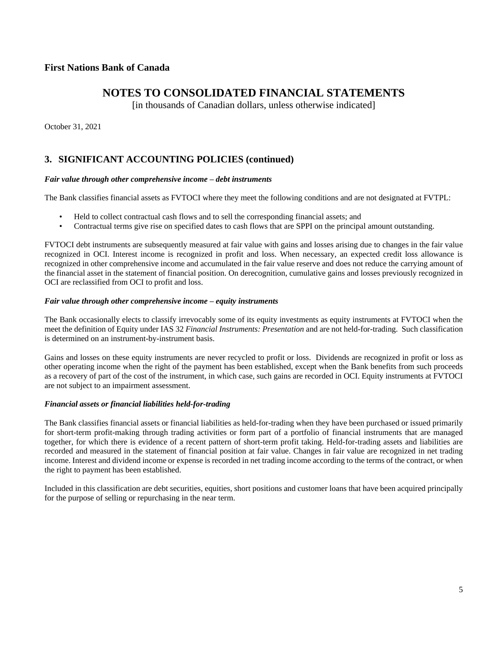[in thousands of Canadian dollars, unless otherwise indicated]

October 31, 2021

### **3. SIGNIFICANT ACCOUNTING POLICIES (continued)**

#### *Fair value through other comprehensive income – debt instruments*

The Bank classifies financial assets as FVTOCI where they meet the following conditions and are not designated at FVTPL:

- Held to collect contractual cash flows and to sell the corresponding financial assets; and
- Contractual terms give rise on specified dates to cash flows that are SPPI on the principal amount outstanding.

FVTOCI debt instruments are subsequently measured at fair value with gains and losses arising due to changes in the fair value recognized in OCI. Interest income is recognized in profit and loss. When necessary, an expected credit loss allowance is recognized in other comprehensive income and accumulated in the fair value reserve and does not reduce the carrying amount of the financial asset in the statement of financial position. On derecognition, cumulative gains and losses previously recognized in OCI are reclassified from OCI to profit and loss.

#### *Fair value through other comprehensive income – equity instruments*

The Bank occasionally elects to classify irrevocably some of its equity investments as equity instruments at FVTOCI when the meet the definition of Equity under IAS 32 *Financial Instruments: Presentation* and are not held-for-trading. Such classification is determined on an instrument-by-instrument basis.

Gains and losses on these equity instruments are never recycled to profit or loss. Dividends are recognized in profit or loss as other operating income when the right of the payment has been established, except when the Bank benefits from such proceeds as a recovery of part of the cost of the instrument, in which case, such gains are recorded in OCI. Equity instruments at FVTOCI are not subject to an impairment assessment.

#### *Financial assets or financial liabilities held-for-trading*

The Bank classifies financial assets or financial liabilities as held-for-trading when they have been purchased or issued primarily for short-term profit-making through trading activities or form part of a portfolio of financial instruments that are managed together, for which there is evidence of a recent pattern of short-term profit taking. Held-for-trading assets and liabilities are recorded and measured in the statement of financial position at fair value. Changes in fair value are recognized in net trading income. Interest and dividend income or expense is recorded in net trading income according to the terms of the contract, or when the right to payment has been established.

Included in this classification are debt securities, equities, short positions and customer loans that have been acquired principally for the purpose of selling or repurchasing in the near term.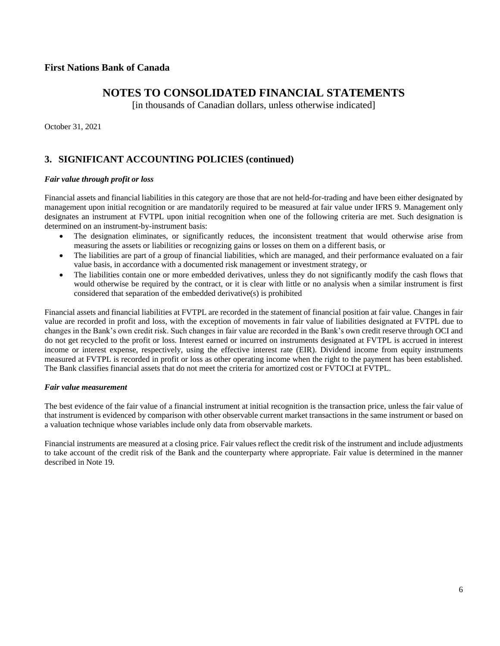[in thousands of Canadian dollars, unless otherwise indicated]

October 31, 2021

## **3. SIGNIFICANT ACCOUNTING POLICIES (continued)**

#### *Fair value through profit or loss*

Financial assets and financial liabilities in this category are those that are not held-for-trading and have been either designated by management upon initial recognition or are mandatorily required to be measured at fair value under IFRS 9. Management only designates an instrument at FVTPL upon initial recognition when one of the following criteria are met. Such designation is determined on an instrument-by-instrument basis:

- The designation eliminates, or significantly reduces, the inconsistent treatment that would otherwise arise from measuring the assets or liabilities or recognizing gains or losses on them on a different basis, or
- The liabilities are part of a group of financial liabilities, which are managed, and their performance evaluated on a fair value basis, in accordance with a documented risk management or investment strategy, or
- The liabilities contain one or more embedded derivatives, unless they do not significantly modify the cash flows that would otherwise be required by the contract, or it is clear with little or no analysis when a similar instrument is first considered that separation of the embedded derivative(s) is prohibited

Financial assets and financial liabilities at FVTPL are recorded in the statement of financial position at fair value. Changes in fair value are recorded in profit and loss, with the exception of movements in fair value of liabilities designated at FVTPL due to changes in the Bank's own credit risk. Such changes in fair value are recorded in the Bank's own credit reserve through OCI and do not get recycled to the profit or loss. Interest earned or incurred on instruments designated at FVTPL is accrued in interest income or interest expense, respectively, using the effective interest rate (EIR). Dividend income from equity instruments measured at FVTPL is recorded in profit or loss as other operating income when the right to the payment has been established. The Bank classifies financial assets that do not meet the criteria for amortized cost or FVTOCI at FVTPL.

#### *Fair value measurement*

The best evidence of the fair value of a financial instrument at initial recognition is the transaction price, unless the fair value of that instrument is evidenced by comparison with other observable current market transactions in the same instrument or based on a valuation technique whose variables include only data from observable markets.

Financial instruments are measured at a closing price. Fair values reflect the credit risk of the instrument and include adjustments to take account of the credit risk of the Bank and the counterparty where appropriate. Fair value is determined in the manner described in Note 19.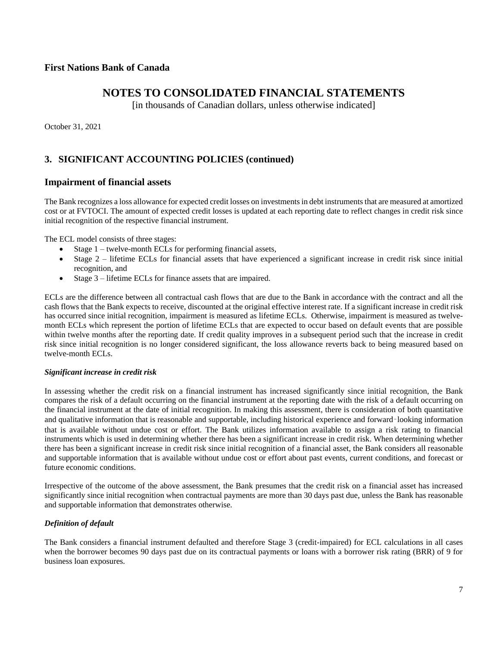[in thousands of Canadian dollars, unless otherwise indicated]

October 31, 2021

## **3. SIGNIFICANT ACCOUNTING POLICIES (continued)**

#### **Impairment of financial assets**

The Bank recognizes a loss allowance for expected credit losses on investments in debt instruments that are measured at amortized cost or at FVTOCI. The amount of expected credit losses is updated at each reporting date to reflect changes in credit risk since initial recognition of the respective financial instrument.

The ECL model consists of three stages:

- Stage 1 twelve-month ECLs for performing financial assets,
- Stage 2 lifetime ECLs for financial assets that have experienced a significant increase in credit risk since initial recognition, and
- Stage 3 lifetime ECLs for finance assets that are impaired.

ECLs are the difference between all contractual cash flows that are due to the Bank in accordance with the contract and all the cash flows that the Bank expects to receive, discounted at the original effective interest rate. If a significant increase in credit risk has occurred since initial recognition, impairment is measured as lifetime ECLs. Otherwise, impairment is measured as twelvemonth ECLs which represent the portion of lifetime ECLs that are expected to occur based on default events that are possible within twelve months after the reporting date. If credit quality improves in a subsequent period such that the increase in credit risk since initial recognition is no longer considered significant, the loss allowance reverts back to being measured based on twelve-month ECLs.

#### *Significant increase in credit risk*

In assessing whether the credit risk on a financial instrument has increased significantly since initial recognition, the Bank compares the risk of a default occurring on the financial instrument at the reporting date with the risk of a default occurring on the financial instrument at the date of initial recognition. In making this assessment, there is consideration of both quantitative and qualitative information that is reasonable and supportable, including historical experience and forward‑looking information that is available without undue cost or effort. The Bank utilizes information available to assign a risk rating to financial instruments which is used in determining whether there has been a significant increase in credit risk. When determining whether there has been a significant increase in credit risk since initial recognition of a financial asset, the Bank considers all reasonable and supportable information that is available without undue cost or effort about past events, current conditions, and forecast or future economic conditions.

Irrespective of the outcome of the above assessment, the Bank presumes that the credit risk on a financial asset has increased significantly since initial recognition when contractual payments are more than 30 days past due, unless the Bank has reasonable and supportable information that demonstrates otherwise.

#### *Definition of default*

The Bank considers a financial instrument defaulted and therefore Stage 3 (credit-impaired) for ECL calculations in all cases when the borrower becomes 90 days past due on its contractual payments or loans with a borrower risk rating (BRR) of 9 for business loan exposures.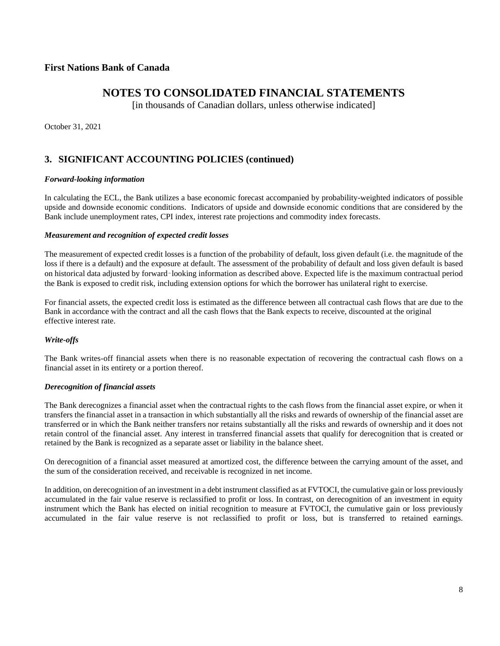[in thousands of Canadian dollars, unless otherwise indicated]

October 31, 2021

## **3. SIGNIFICANT ACCOUNTING POLICIES (continued)**

#### *Forward-looking information*

In calculating the ECL, the Bank utilizes a base economic forecast accompanied by probability-weighted indicators of possible upside and downside economic conditions. Indicators of upside and downside economic conditions that are considered by the Bank include unemployment rates, CPI index, interest rate projections and commodity index forecasts.

#### *Measurement and recognition of expected credit losses*

The measurement of expected credit losses is a function of the probability of default, loss given default (i.e. the magnitude of the loss if there is a default) and the exposure at default. The assessment of the probability of default and loss given default is based on historical data adjusted by forward‑looking information as described above. Expected life is the maximum contractual period the Bank is exposed to credit risk, including extension options for which the borrower has unilateral right to exercise.

For financial assets, the expected credit loss is estimated as the difference between all contractual cash flows that are due to the Bank in accordance with the contract and all the cash flows that the Bank expects to receive, discounted at the original effective interest rate.

#### *Write-offs*

The Bank writes-off financial assets when there is no reasonable expectation of recovering the contractual cash flows on a financial asset in its entirety or a portion thereof.

#### *Derecognition of financial assets*

The Bank derecognizes a financial asset when the contractual rights to the cash flows from the financial asset expire, or when it transfers the financial asset in a transaction in which substantially all the risks and rewards of ownership of the financial asset are transferred or in which the Bank neither transfers nor retains substantially all the risks and rewards of ownership and it does not retain control of the financial asset. Any interest in transferred financial assets that qualify for derecognition that is created or retained by the Bank is recognized as a separate asset or liability in the balance sheet.

On derecognition of a financial asset measured at amortized cost, the difference between the carrying amount of the asset, and the sum of the consideration received, and receivable is recognized in net income.

In addition, on derecognition of an investment in a debt instrument classified as at FVTOCI, the cumulative gain or loss previously accumulated in the fair value reserve is reclassified to profit or loss. In contrast, on derecognition of an investment in equity instrument which the Bank has elected on initial recognition to measure at FVTOCI, the cumulative gain or loss previously accumulated in the fair value reserve is not reclassified to profit or loss, but is transferred to retained earnings.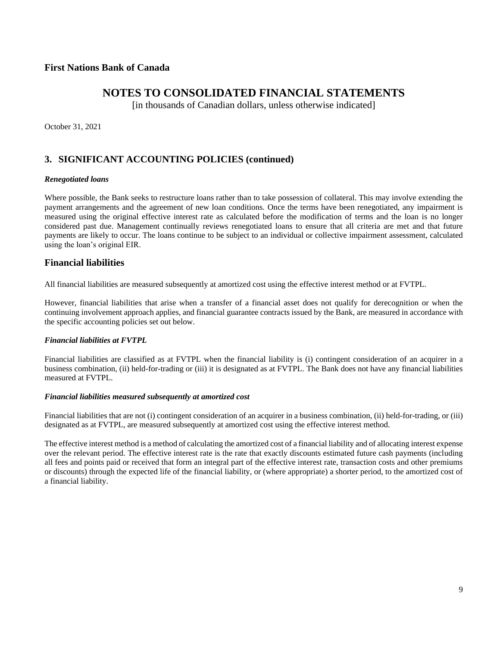[in thousands of Canadian dollars, unless otherwise indicated]

October 31, 2021

## **3. SIGNIFICANT ACCOUNTING POLICIES (continued)**

#### *Renegotiated loans*

Where possible, the Bank seeks to restructure loans rather than to take possession of collateral. This may involve extending the payment arrangements and the agreement of new loan conditions. Once the terms have been renegotiated, any impairment is measured using the original effective interest rate as calculated before the modification of terms and the loan is no longer considered past due. Management continually reviews renegotiated loans to ensure that all criteria are met and that future payments are likely to occur. The loans continue to be subject to an individual or collective impairment assessment, calculated using the loan's original EIR.

### **Financial liabilities**

All financial liabilities are measured subsequently at amortized cost using the effective interest method or at FVTPL.

However, financial liabilities that arise when a transfer of a financial asset does not qualify for derecognition or when the continuing involvement approach applies, and financial guarantee contracts issued by the Bank, are measured in accordance with the specific accounting policies set out below.

#### *Financial liabilities at FVTPL*

Financial liabilities are classified as at FVTPL when the financial liability is (i) contingent consideration of an acquirer in a business combination, (ii) held-for-trading or (iii) it is designated as at FVTPL. The Bank does not have any financial liabilities measured at FVTPL.

#### *Financial liabilities measured subsequently at amortized cost*

Financial liabilities that are not (i) contingent consideration of an acquirer in a business combination, (ii) held-for-trading, or (iii) designated as at FVTPL, are measured subsequently at amortized cost using the effective interest method.

The effective interest method is a method of calculating the amortized cost of a financial liability and of allocating interest expense over the relevant period. The effective interest rate is the rate that exactly discounts estimated future cash payments (including all fees and points paid or received that form an integral part of the effective interest rate, transaction costs and other premiums or discounts) through the expected life of the financial liability, or (where appropriate) a shorter period, to the amortized cost of a financial liability.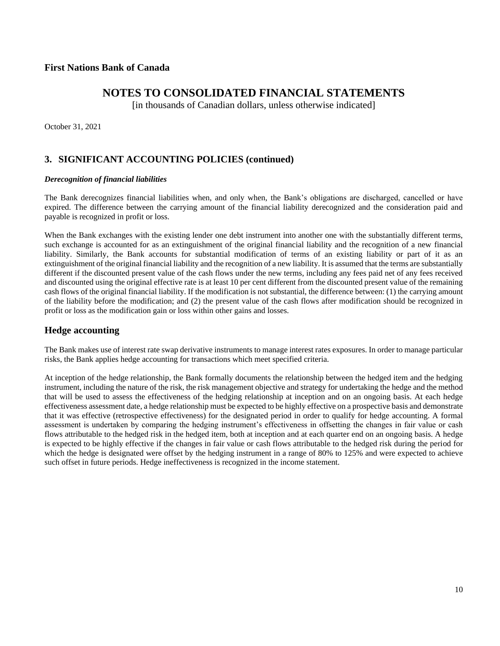[in thousands of Canadian dollars, unless otherwise indicated]

October 31, 2021

## **3. SIGNIFICANT ACCOUNTING POLICIES (continued)**

#### *Derecognition of financial liabilities*

The Bank derecognizes financial liabilities when, and only when, the Bank's obligations are discharged, cancelled or have expired. The difference between the carrying amount of the financial liability derecognized and the consideration paid and payable is recognized in profit or loss.

When the Bank exchanges with the existing lender one debt instrument into another one with the substantially different terms, such exchange is accounted for as an extinguishment of the original financial liability and the recognition of a new financial liability. Similarly, the Bank accounts for substantial modification of terms of an existing liability or part of it as an extinguishment of the original financial liability and the recognition of a new liability. It is assumed that the terms are substantially different if the discounted present value of the cash flows under the new terms, including any fees paid net of any fees received and discounted using the original effective rate is at least 10 per cent different from the discounted present value of the remaining cash flows of the original financial liability. If the modification is not substantial, the difference between: (1) the carrying amount of the liability before the modification; and (2) the present value of the cash flows after modification should be recognized in profit or loss as the modification gain or loss within other gains and losses.

#### **Hedge accounting**

The Bank makes use of interest rate swap derivative instruments to manage interest rates exposures. In order to manage particular risks, the Bank applies hedge accounting for transactions which meet specified criteria.

At inception of the hedge relationship, the Bank formally documents the relationship between the hedged item and the hedging instrument, including the nature of the risk, the risk management objective and strategy for undertaking the hedge and the method that will be used to assess the effectiveness of the hedging relationship at inception and on an ongoing basis. At each hedge effectiveness assessment date, a hedge relationship must be expected to be highly effective on a prospective basis and demonstrate that it was effective (retrospective effectiveness) for the designated period in order to qualify for hedge accounting. A formal assessment is undertaken by comparing the hedging instrument's effectiveness in offsetting the changes in fair value or cash flows attributable to the hedged risk in the hedged item, both at inception and at each quarter end on an ongoing basis. A hedge is expected to be highly effective if the changes in fair value or cash flows attributable to the hedged risk during the period for which the hedge is designated were offset by the hedging instrument in a range of 80% to 125% and were expected to achieve such offset in future periods. Hedge ineffectiveness is recognized in the income statement.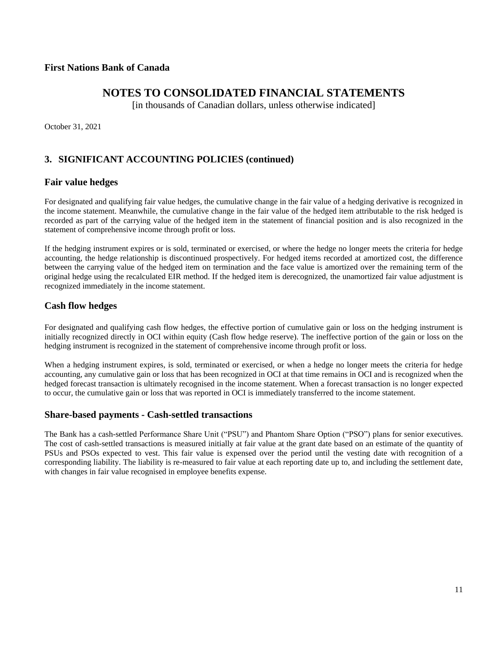[in thousands of Canadian dollars, unless otherwise indicated]

October 31, 2021

## **3. SIGNIFICANT ACCOUNTING POLICIES (continued)**

#### **Fair value hedges**

For designated and qualifying fair value hedges, the cumulative change in the fair value of a hedging derivative is recognized in the income statement. Meanwhile, the cumulative change in the fair value of the hedged item attributable to the risk hedged is recorded as part of the carrying value of the hedged item in the statement of financial position and is also recognized in the statement of comprehensive income through profit or loss.

If the hedging instrument expires or is sold, terminated or exercised, or where the hedge no longer meets the criteria for hedge accounting, the hedge relationship is discontinued prospectively. For hedged items recorded at amortized cost, the difference between the carrying value of the hedged item on termination and the face value is amortized over the remaining term of the original hedge using the recalculated EIR method. If the hedged item is derecognized, the unamortized fair value adjustment is recognized immediately in the income statement.

#### **Cash flow hedges**

For designated and qualifying cash flow hedges, the effective portion of cumulative gain or loss on the hedging instrument is initially recognized directly in OCI within equity (Cash flow hedge reserve). The ineffective portion of the gain or loss on the hedging instrument is recognized in the statement of comprehensive income through profit or loss.

When a hedging instrument expires, is sold, terminated or exercised, or when a hedge no longer meets the criteria for hedge accounting, any cumulative gain or loss that has been recognized in OCI at that time remains in OCI and is recognized when the hedged forecast transaction is ultimately recognised in the income statement. When a forecast transaction is no longer expected to occur, the cumulative gain or loss that was reported in OCI is immediately transferred to the income statement.

#### **Share-based payments - Cash-settled transactions**

The Bank has a cash-settled Performance Share Unit ("PSU") and Phantom Share Option ("PSO") plans for senior executives. The cost of cash-settled transactions is measured initially at fair value at the grant date based on an estimate of the quantity of PSUs and PSOs expected to vest. This fair value is expensed over the period until the vesting date with recognition of a corresponding liability. The liability is re-measured to fair value at each reporting date up to, and including the settlement date, with changes in fair value recognised in employee benefits expense.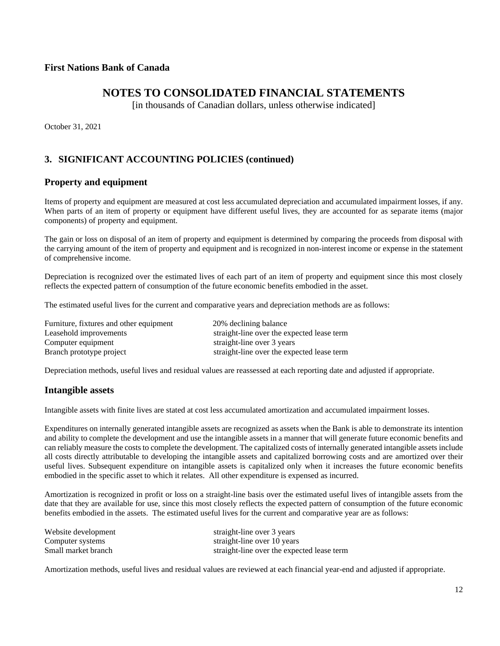[in thousands of Canadian dollars, unless otherwise indicated]

October 31, 2021

## **3. SIGNIFICANT ACCOUNTING POLICIES (continued)**

#### **Property and equipment**

Items of property and equipment are measured at cost less accumulated depreciation and accumulated impairment losses, if any. When parts of an item of property or equipment have different useful lives, they are accounted for as separate items (major components) of property and equipment.

The gain or loss on disposal of an item of property and equipment is determined by comparing the proceeds from disposal with the carrying amount of the item of property and equipment and is recognized in non-interest income or expense in the statement of comprehensive income.

Depreciation is recognized over the estimated lives of each part of an item of property and equipment since this most closely reflects the expected pattern of consumption of the future economic benefits embodied in the asset.

The estimated useful lives for the current and comparative years and depreciation methods are as follows:

| Furniture, fixtures and other equipment | 20% declining balance                      |
|-----------------------------------------|--------------------------------------------|
| Leasehold improvements                  | straight-line over the expected lease term |
| Computer equipment                      | straight-line over 3 years                 |
| Branch prototype project                | straight-line over the expected lease term |

Depreciation methods, useful lives and residual values are reassessed at each reporting date and adjusted if appropriate.

#### **Intangible assets**

Intangible assets with finite lives are stated at cost less accumulated amortization and accumulated impairment losses.

Expenditures on internally generated intangible assets are recognized as assets when the Bank is able to demonstrate its intention and ability to complete the development and use the intangible assets in a manner that will generate future economic benefits and can reliably measure the costs to complete the development. The capitalized costs of internally generated intangible assets include all costs directly attributable to developing the intangible assets and capitalized borrowing costs and are amortized over their useful lives. Subsequent expenditure on intangible assets is capitalized only when it increases the future economic benefits embodied in the specific asset to which it relates. All other expenditure is expensed as incurred.

Amortization is recognized in profit or loss on a straight-line basis over the estimated useful lives of intangible assets from the date that they are available for use, since this most closely reflects the expected pattern of consumption of the future economic benefits embodied in the assets. The estimated useful lives for the current and comparative year are as follows:

| Website development | straight-line over 3 years                 |
|---------------------|--------------------------------------------|
| Computer systems    | straight-line over 10 years                |
| Small market branch | straight-line over the expected lease term |

Amortization methods, useful lives and residual values are reviewed at each financial year-end and adjusted if appropriate.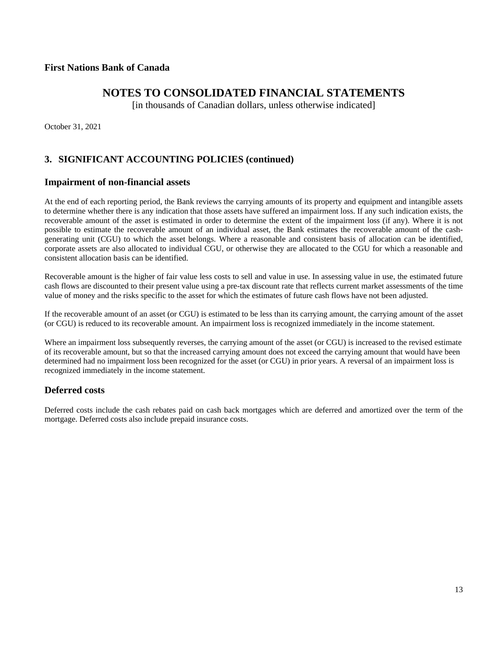[in thousands of Canadian dollars, unless otherwise indicated]

October 31, 2021

## **3. SIGNIFICANT ACCOUNTING POLICIES (continued)**

#### **Impairment of non-financial assets**

At the end of each reporting period, the Bank reviews the carrying amounts of its property and equipment and intangible assets to determine whether there is any indication that those assets have suffered an impairment loss. If any such indication exists, the recoverable amount of the asset is estimated in order to determine the extent of the impairment loss (if any). Where it is not possible to estimate the recoverable amount of an individual asset, the Bank estimates the recoverable amount of the cashgenerating unit (CGU) to which the asset belongs. Where a reasonable and consistent basis of allocation can be identified, corporate assets are also allocated to individual CGU, or otherwise they are allocated to the CGU for which a reasonable and consistent allocation basis can be identified.

Recoverable amount is the higher of fair value less costs to sell and value in use. In assessing value in use, the estimated future cash flows are discounted to their present value using a pre-tax discount rate that reflects current market assessments of the time value of money and the risks specific to the asset for which the estimates of future cash flows have not been adjusted.

If the recoverable amount of an asset (or CGU) is estimated to be less than its carrying amount, the carrying amount of the asset (or CGU) is reduced to its recoverable amount. An impairment loss is recognized immediately in the income statement.

Where an impairment loss subsequently reverses, the carrying amount of the asset (or CGU) is increased to the revised estimate of its recoverable amount, but so that the increased carrying amount does not exceed the carrying amount that would have been determined had no impairment loss been recognized for the asset (or CGU) in prior years. A reversal of an impairment loss is recognized immediately in the income statement.

#### **Deferred costs**

Deferred costs include the cash rebates paid on cash back mortgages which are deferred and amortized over the term of the mortgage. Deferred costs also include prepaid insurance costs.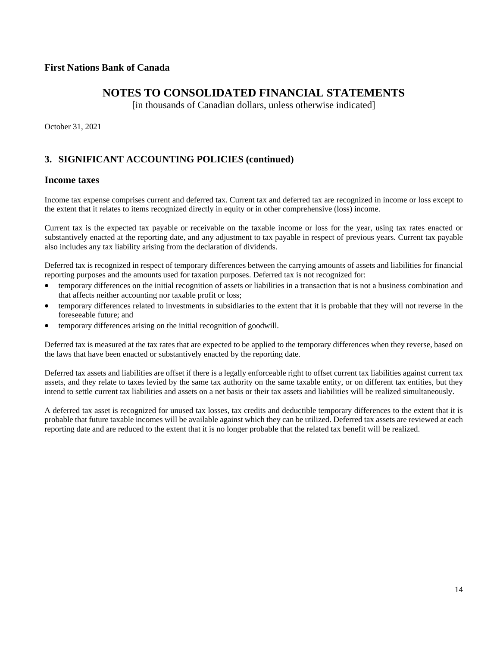[in thousands of Canadian dollars, unless otherwise indicated]

October 31, 2021

## **3. SIGNIFICANT ACCOUNTING POLICIES (continued)**

#### **Income taxes**

Income tax expense comprises current and deferred tax. Current tax and deferred tax are recognized in income or loss except to the extent that it relates to items recognized directly in equity or in other comprehensive (loss) income.

Current tax is the expected tax payable or receivable on the taxable income or loss for the year, using tax rates enacted or substantively enacted at the reporting date, and any adjustment to tax payable in respect of previous years. Current tax payable also includes any tax liability arising from the declaration of dividends.

Deferred tax is recognized in respect of temporary differences between the carrying amounts of assets and liabilities for financial reporting purposes and the amounts used for taxation purposes. Deferred tax is not recognized for:

- temporary differences on the initial recognition of assets or liabilities in a transaction that is not a business combination and that affects neither accounting nor taxable profit or loss;
- temporary differences related to investments in subsidiaries to the extent that it is probable that they will not reverse in the foreseeable future; and
- temporary differences arising on the initial recognition of goodwill.

Deferred tax is measured at the tax rates that are expected to be applied to the temporary differences when they reverse, based on the laws that have been enacted or substantively enacted by the reporting date.

Deferred tax assets and liabilities are offset if there is a legally enforceable right to offset current tax liabilities against current tax assets, and they relate to taxes levied by the same tax authority on the same taxable entity, or on different tax entities, but they intend to settle current tax liabilities and assets on a net basis or their tax assets and liabilities will be realized simultaneously.

A deferred tax asset is recognized for unused tax losses, tax credits and deductible temporary differences to the extent that it is probable that future taxable incomes will be available against which they can be utilized. Deferred tax assets are reviewed at each reporting date and are reduced to the extent that it is no longer probable that the related tax benefit will be realized.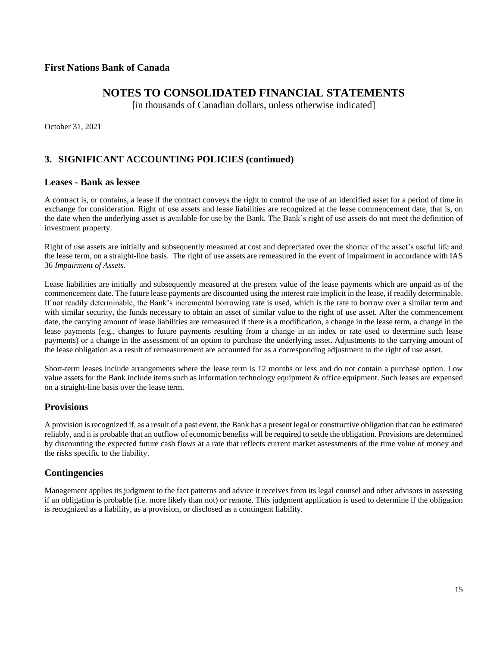[in thousands of Canadian dollars, unless otherwise indicated]

October 31, 2021

## **3. SIGNIFICANT ACCOUNTING POLICIES (continued)**

#### **Leases - Bank as lessee**

A contract is, or contains, a lease if the contract conveys the right to control the use of an identified asset for a period of time in exchange for consideration. Right of use assets and lease liabilities are recognized at the lease commencement date, that is, on the date when the underlying asset is available for use by the Bank. The Bank's right of use assets do not meet the definition of investment property.

Right of use assets are initially and subsequently measured at cost and depreciated over the shorter of the asset's useful life and the lease term, on a straight-line basis. The right of use assets are remeasured in the event of impairment in accordance with IAS 36 *Impairment of Assets*.

Lease liabilities are initially and subsequently measured at the present value of the lease payments which are unpaid as of the commencement date. The future lease payments are discounted using the interest rate implicit in the lease, if readily determinable. If not readily determinable, the Bank's incremental borrowing rate is used, which is the rate to borrow over a similar term and with similar security, the funds necessary to obtain an asset of similar value to the right of use asset. After the commencement date, the carrying amount of lease liabilities are remeasured if there is a modification, a change in the lease term, a change in the lease payments (e.g., changes to future payments resulting from a change in an index or rate used to determine such lease payments) or a change in the assessment of an option to purchase the underlying asset. Adjustments to the carrying amount of the lease obligation as a result of remeasurement are accounted for as a corresponding adjustment to the right of use asset.

Short-term leases include arrangements where the lease term is 12 months or less and do not contain a purchase option. Low value assets for the Bank include items such as information technology equipment & office equipment. Such leases are expensed on a straight-line basis over the lease term.

#### **Provisions**

A provision is recognized if, as a result of a past event, the Bank has a present legal or constructive obligation that can be estimated reliably, and it is probable that an outflow of economic benefits will be required to settle the obligation. Provisions are determined by discounting the expected future cash flows at a rate that reflects current market assessments of the time value of money and the risks specific to the liability.

### **Contingencies**

Management applies its judgment to the fact patterns and advice it receives from its legal counsel and other advisors in assessing if an obligation is probable (i.e. more likely than not) or remote. This judgment application is used to determine if the obligation is recognized as a liability, as a provision, or disclosed as a contingent liability.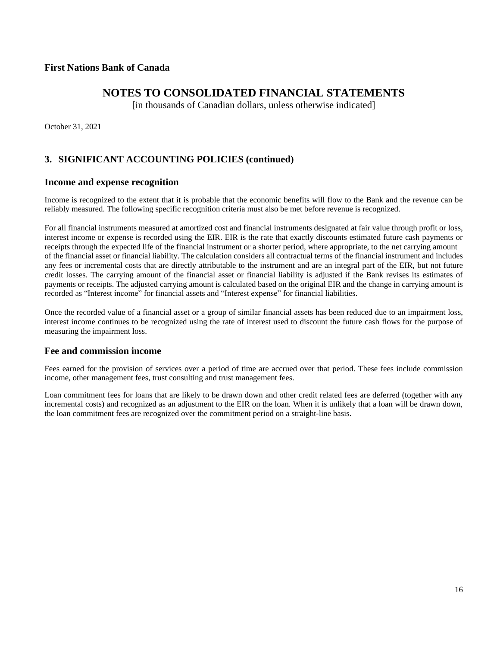## **NOTES TO CONSOLIDATED FINANCIAL STATEMENTS**

[in thousands of Canadian dollars, unless otherwise indicated]

October 31, 2021

## **3. SIGNIFICANT ACCOUNTING POLICIES (continued)**

#### **Income and expense recognition**

Income is recognized to the extent that it is probable that the economic benefits will flow to the Bank and the revenue can be reliably measured. The following specific recognition criteria must also be met before revenue is recognized.

For all financial instruments measured at amortized cost and financial instruments designated at fair value through profit or loss, interest income or expense is recorded using the EIR. EIR is the rate that exactly discounts estimated future cash payments or receipts through the expected life of the financial instrument or a shorter period, where appropriate, to the net carrying amount of the financial asset or financial liability. The calculation considers all contractual terms of the financial instrument and includes any fees or incremental costs that are directly attributable to the instrument and are an integral part of the EIR, but not future credit losses. The carrying amount of the financial asset or financial liability is adjusted if the Bank revises its estimates of payments or receipts. The adjusted carrying amount is calculated based on the original EIR and the change in carrying amount is recorded as "Interest income" for financial assets and "Interest expense" for financial liabilities.

Once the recorded value of a financial asset or a group of similar financial assets has been reduced due to an impairment loss, interest income continues to be recognized using the rate of interest used to discount the future cash flows for the purpose of measuring the impairment loss.

#### **Fee and commission income**

Fees earned for the provision of services over a period of time are accrued over that period. These fees include commission income, other management fees, trust consulting and trust management fees.

Loan commitment fees for loans that are likely to be drawn down and other credit related fees are deferred (together with any incremental costs) and recognized as an adjustment to the EIR on the loan. When it is unlikely that a loan will be drawn down, the loan commitment fees are recognized over the commitment period on a straight-line basis.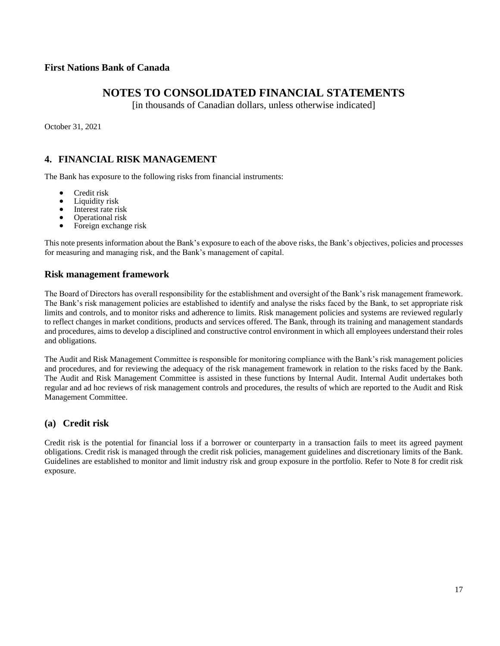[in thousands of Canadian dollars, unless otherwise indicated]

October 31, 2021

### **4. FINANCIAL RISK MANAGEMENT**

The Bank has exposure to the following risks from financial instruments:

- Credit risk
- Liquidity risk<br>• Interest rate ri
- Interest rate risk
- Operational risk
- Foreign exchange risk

This note presents information about the Bank's exposure to each of the above risks, the Bank's objectives, policies and processes for measuring and managing risk, and the Bank's management of capital.

#### **Risk management framework**

The Board of Directors has overall responsibility for the establishment and oversight of the Bank's risk management framework. The Bank's risk management policies are established to identify and analyse the risks faced by the Bank, to set appropriate risk limits and controls, and to monitor risks and adherence to limits. Risk management policies and systems are reviewed regularly to reflect changes in market conditions, products and services offered. The Bank, through its training and management standards and procedures, aims to develop a disciplined and constructive control environment in which all employees understand their roles and obligations.

The Audit and Risk Management Committee is responsible for monitoring compliance with the Bank's risk management policies and procedures, and for reviewing the adequacy of the risk management framework in relation to the risks faced by the Bank. The Audit and Risk Management Committee is assisted in these functions by Internal Audit. Internal Audit undertakes both regular and ad hoc reviews of risk management controls and procedures, the results of which are reported to the Audit and Risk Management Committee.

#### **(a) Credit risk**

Credit risk is the potential for financial loss if a borrower or counterparty in a transaction fails to meet its agreed payment obligations. Credit risk is managed through the credit risk policies, management guidelines and discretionary limits of the Bank. Guidelines are established to monitor and limit industry risk and group exposure in the portfolio. Refer to Note 8 for credit risk exposure.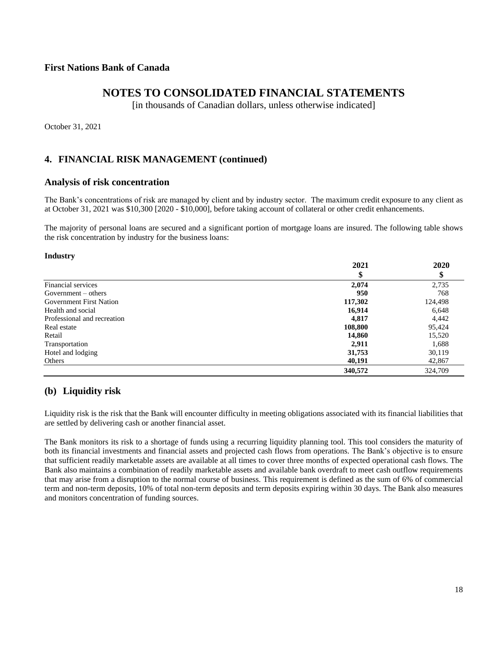[in thousands of Canadian dollars, unless otherwise indicated]

October 31, 2021

### **4. FINANCIAL RISK MANAGEMENT (continued)**

#### **Analysis of risk concentration**

The Bank's concentrations of risk are managed by client and by industry sector. The maximum credit exposure to any client as at October 31, 2021 was \$10,300 [2020 - \$10,000], before taking account of collateral or other credit enhancements.

The majority of personal loans are secured and a significant portion of mortgage loans are insured. The following table shows the risk concentration by industry for the business loans:

#### **Industry**

|                                | 2021    | 2020    |
|--------------------------------|---------|---------|
|                                | \$      | \$      |
| Financial services             | 2,074   | 2,735   |
| $Government - others$          | 950     | 768     |
| <b>Government First Nation</b> | 117,302 | 124,498 |
| Health and social              | 16,914  | 6,648   |
| Professional and recreation    | 4,817   | 4,442   |
| Real estate                    | 108,800 | 95,424  |
| Retail                         | 14,860  | 15,520  |
| Transportation                 | 2,911   | 1,688   |
| Hotel and lodging              | 31,753  | 30,119  |
| Others                         | 40,191  | 42,867  |
|                                | 340,572 | 324,709 |

### **(b) Liquidity risk**

Liquidity risk is the risk that the Bank will encounter difficulty in meeting obligations associated with its financial liabilities that are settled by delivering cash or another financial asset.

The Bank monitors its risk to a shortage of funds using a recurring liquidity planning tool. This tool considers the maturity of both its financial investments and financial assets and projected cash flows from operations. The Bank's objective is to ensure that sufficient readily marketable assets are available at all times to cover three months of expected operational cash flows. The Bank also maintains a combination of readily marketable assets and available bank overdraft to meet cash outflow requirements that may arise from a disruption to the normal course of business. This requirement is defined as the sum of 6% of commercial term and non-term deposits, 10% of total non-term deposits and term deposits expiring within 30 days. The Bank also measures and monitors concentration of funding sources.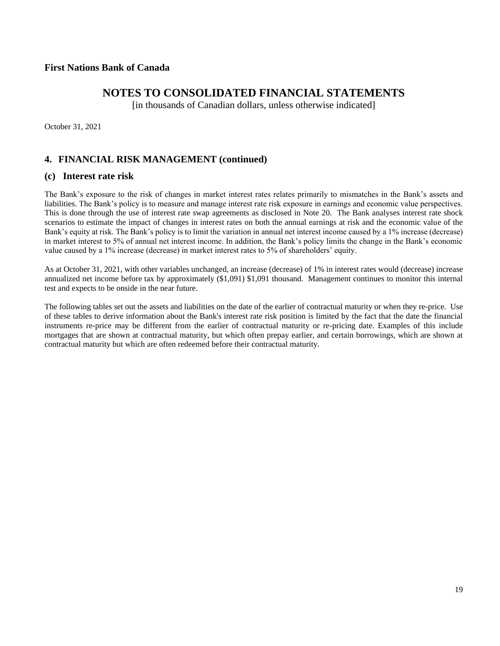[in thousands of Canadian dollars, unless otherwise indicated]

October 31, 2021

## **4. FINANCIAL RISK MANAGEMENT (continued)**

#### **(c) Interest rate risk**

The Bank's exposure to the risk of changes in market interest rates relates primarily to mismatches in the Bank's assets and liabilities. The Bank's policy is to measure and manage interest rate risk exposure in earnings and economic value perspectives. This is done through the use of interest rate swap agreements as disclosed in Note 20. The Bank analyses interest rate shock scenarios to estimate the impact of changes in interest rates on both the annual earnings at risk and the economic value of the Bank's equity at risk. The Bank's policy is to limit the variation in annual net interest income caused by a 1% increase (decrease) in market interest to 5% of annual net interest income. In addition, the Bank's policy limits the change in the Bank's economic value caused by a 1% increase (decrease) in market interest rates to 5% of shareholders' equity.

As at October 31, 2021, with other variables unchanged, an increase (decrease) of 1% in interest rates would (decrease) increase annualized net income before tax by approximately (\$1,091) \$1,091 thousand. Management continues to monitor this internal test and expects to be onside in the near future.

The following tables set out the assets and liabilities on the date of the earlier of contractual maturity or when they re-price. Use of these tables to derive information about the Bank's interest rate risk position is limited by the fact that the date the financial instruments re-price may be different from the earlier of contractual maturity or re-pricing date. Examples of this include mortgages that are shown at contractual maturity, but which often prepay earlier, and certain borrowings, which are shown at contractual maturity but which are often redeemed before their contractual maturity.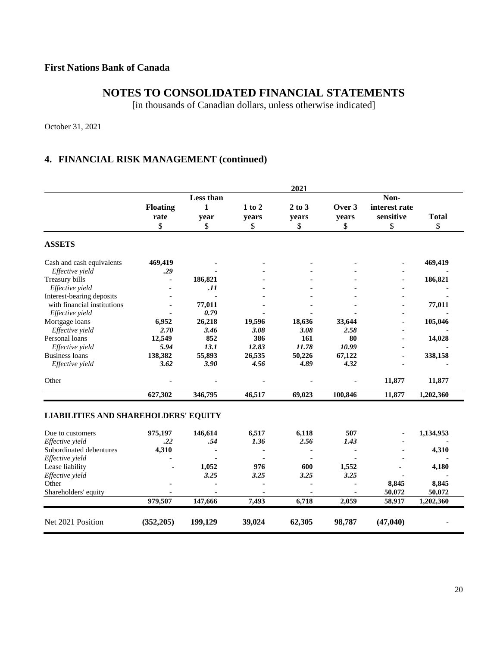# **NOTES TO CONSOLIDATED FINANCIAL STATEMENTS**

[in thousands of Canadian dollars, unless otherwise indicated]

October 31, 2021

# **4. FINANCIAL RISK MANAGEMENT (continued)**

|                                             |                 |                  |        | 2021       |         |               |              |
|---------------------------------------------|-----------------|------------------|--------|------------|---------|---------------|--------------|
|                                             |                 | <b>Less than</b> |        |            |         | Non-          |              |
|                                             | <b>Floating</b> | $\mathbf{1}$     | 1 to 2 | $2$ to $3$ | Over 3  | interest rate |              |
|                                             | rate            | year             | years  | years      | years   | sensitive     | <b>Total</b> |
|                                             | \$              | \$               | \$     | \$         | \$      | \$            | \$           |
|                                             |                 |                  |        |            |         |               |              |
| <b>ASSETS</b>                               |                 |                  |        |            |         |               |              |
| Cash and cash equivalents                   | 469,419         |                  |        |            |         |               | 469,419      |
| Effective yield                             | .29             |                  |        |            |         |               |              |
| Treasury bills                              |                 | 186,821          |        |            |         |               | 186,821      |
| Effective yield                             |                 | .11              |        |            |         |               |              |
| Interest-bearing deposits                   |                 |                  |        |            |         |               |              |
| with financial institutions                 | ٠               | 77,011           |        |            |         |               | 77,011       |
| Effective yield                             |                 | 0.79             |        |            |         |               |              |
| Mortgage loans                              | 6,952           | 26,218           | 19,596 | 18,636     | 33,644  |               | 105,046      |
| Effective yield                             | 2.70            | 3.46             | 3.08   | 3.08       | 2.58    |               |              |
| Personal loans                              | 12,549          | 852              | 386    | 161        | 80      |               | 14,028       |
| Effective yield                             | 5.94            | 13.1             | 12.83  | 11.78      | 10.99   |               |              |
| <b>Business loans</b>                       | 138,382         | 55,893           | 26,535 | 50,226     | 67,122  |               | 338,158      |
| Effective yield                             | 3.62            | 3.90             | 4.56   | 4.89       | 4.32    |               |              |
| Other                                       |                 |                  |        |            |         | 11,877        | 11,877       |
|                                             | 627,302         | 346,795          | 46,517 | 69,023     | 100,846 | 11,877        | 1,202,360    |
| <b>LIABILITIES AND SHAREHOLDERS' EQUITY</b> |                 |                  |        |            |         |               |              |
| Due to customers                            | 975,197         | 146,614          | 6,517  | 6,118      | 507     |               | 1,134,953    |
| Effective yield                             | .22             | .54              | 1.36   | 2.56       | 1.43    |               |              |
| Subordinated debentures                     | 4,310           |                  |        |            |         |               | 4,310        |
| Effective yield                             |                 |                  | ä,     |            |         |               |              |
| Lease liability                             |                 | 1,052            | 976    | 600        | 1,552   |               | 4,180        |
| Effective yield                             |                 | 3.25             | 3.25   | 3.25       | 3.25    |               |              |
| Other                                       |                 |                  |        | ٠          |         | 8,845         | 8,845        |
| Shareholders' equity                        |                 |                  |        |            |         | 50,072        | 50,072       |
|                                             | 979,507         | 147,666          | 7,493  | 6,718      | 2,059   | 58,917        | 1,202,360    |
| Net 2021 Position                           | (352, 205)      | 199,129          | 39,024 | 62,305     | 98,787  | (47, 040)     |              |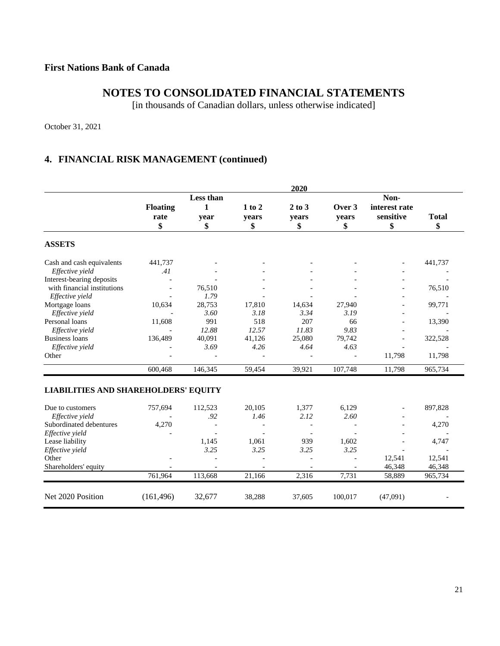# **NOTES TO CONSOLIDATED FINANCIAL STATEMENTS**

[in thousands of Canadian dollars, unless otherwise indicated]

October 31, 2021

# **4. FINANCIAL RISK MANAGEMENT (continued)**

|                                             |                          |                          |        | 2020                     |                          |               |              |
|---------------------------------------------|--------------------------|--------------------------|--------|--------------------------|--------------------------|---------------|--------------|
|                                             |                          | <b>Less than</b>         |        |                          |                          | Non-          |              |
|                                             | <b>Floating</b>          | 1                        | 1 to 2 | $2$ to $3$               | Over 3                   | interest rate |              |
|                                             | rate                     | year                     | vears  | vears                    | vears                    | sensitive     | <b>Total</b> |
|                                             | \$                       | \$                       | \$     | \$                       | \$                       | \$            | \$           |
|                                             |                          |                          |        |                          |                          |               |              |
| <b>ASSETS</b>                               |                          |                          |        |                          |                          |               |              |
| Cash and cash equivalents                   | 441,737                  |                          |        |                          |                          |               | 441,737      |
| Effective yield                             | .41                      |                          |        |                          |                          |               |              |
| Interest-bearing deposits                   |                          |                          |        |                          |                          |               |              |
| with financial institutions                 | $\overline{\phantom{a}}$ | 76,510                   |        |                          |                          |               | 76,510       |
| Effective yield                             |                          | 1.79                     |        |                          |                          |               |              |
| Mortgage loans                              | 10,634                   | 28,753                   | 17,810 | 14,634                   | 27,940                   |               | 99,771       |
| Effective yield                             |                          | 3.60                     | 3.18   | 3.34                     | 3.19                     |               |              |
| Personal loans                              | 11,608                   | 991                      | 518    | 207                      | 66                       |               | 13,390       |
| Effective yield                             |                          | 12.88                    | 12.57  | 11.83                    | 9.83                     |               |              |
| <b>Business loans</b>                       | 136,489                  | 40,091                   | 41,126 | 25,080                   | 79,742                   |               | 322,528      |
| Effective yield                             |                          | 3.69                     | 4.26   | 4.64                     | 4.63                     |               |              |
| Other                                       |                          |                          |        |                          | $\overline{\phantom{a}}$ | 11,798        | 11,798       |
|                                             | 600,468                  | 146,345                  | 59,454 | 39,921                   | 107,748                  | 11,798        | 965,734      |
| <b>LIABILITIES AND SHAREHOLDERS' EQUITY</b> |                          |                          |        |                          |                          |               |              |
| Due to customers                            | 757,694                  | 112,523                  | 20,105 | 1,377                    | 6,129                    |               | 897,828      |
| Effective yield                             |                          | .92                      | 1.46   | 2.12                     | 2.60                     |               |              |
| Subordinated debentures                     | 4,270                    | $\overline{\phantom{a}}$ |        | $\overline{\phantom{a}}$ | $\overline{\phantom{a}}$ |               | 4,270        |
| Effective yield                             |                          |                          |        |                          |                          |               |              |
| Lease liability                             |                          | 1,145                    | 1,061  | 939                      | 1,602                    |               | 4,747        |
| Effective yield                             |                          | 3.25                     | 3.25   | 3.25                     | 3.25                     |               |              |
| Other                                       |                          |                          |        |                          |                          | 12,541        | 12,541       |
| Shareholders' equity                        |                          |                          |        |                          |                          | 46,348        | 46,348       |
|                                             | 761,964                  | 113,668                  | 21,166 | 2,316                    | 7,731                    | 58,889        | 965,734      |
| Net 2020 Position                           | (161, 496)               | 32,677                   | 38,288 | 37,605                   | 100,017                  | (47,091)      |              |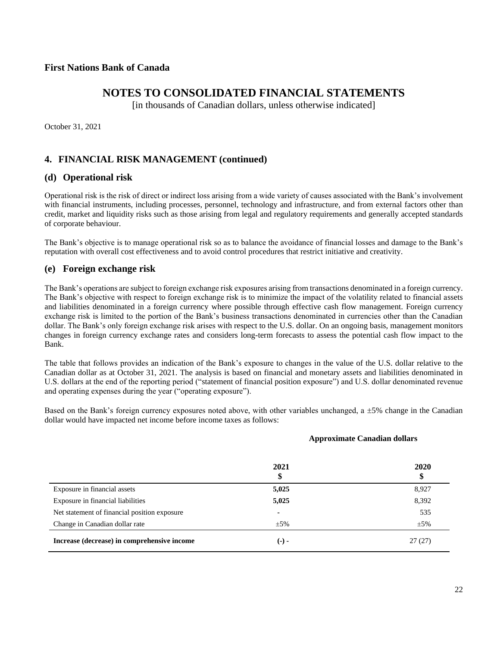[in thousands of Canadian dollars, unless otherwise indicated]

October 31, 2021

### **4. FINANCIAL RISK MANAGEMENT (continued)**

#### **(d) Operational risk**

Operational risk is the risk of direct or indirect loss arising from a wide variety of causes associated with the Bank's involvement with financial instruments, including processes, personnel, technology and infrastructure, and from external factors other than credit, market and liquidity risks such as those arising from legal and regulatory requirements and generally accepted standards of corporate behaviour.

The Bank's objective is to manage operational risk so as to balance the avoidance of financial losses and damage to the Bank's reputation with overall cost effectiveness and to avoid control procedures that restrict initiative and creativity.

### **(e) Foreign exchange risk**

The Bank's operations are subject to foreign exchange risk exposures arising from transactions denominated in a foreign currency. The Bank's objective with respect to foreign exchange risk is to minimize the impact of the volatility related to financial assets and liabilities denominated in a foreign currency where possible through effective cash flow management. Foreign currency exchange risk is limited to the portion of the Bank's business transactions denominated in currencies other than the Canadian dollar. The Bank's only foreign exchange risk arises with respect to the U.S. dollar. On an ongoing basis, management monitors changes in foreign currency exchange rates and considers long-term forecasts to assess the potential cash flow impact to the Bank.

The table that follows provides an indication of the Bank's exposure to changes in the value of the U.S. dollar relative to the Canadian dollar as at October 31, 2021. The analysis is based on financial and monetary assets and liabilities denominated in U.S. dollars at the end of the reporting period ("statement of financial position exposure") and U.S. dollar denominated revenue and operating expenses during the year ("operating exposure").

Based on the Bank's foreign currency exposures noted above, with other variables unchanged, a ±5% change in the Canadian dollar would have impacted net income before income taxes as follows:

|                                              | 2021<br>\$ | 2020<br>\$ |
|----------------------------------------------|------------|------------|
| Exposure in financial assets                 | 5,025      | 8,927      |
| Exposure in financial liabilities            | 5,025      | 8,392      |
| Net statement of financial position exposure | ٠          | 535        |
| Change in Canadian dollar rate               | $\pm 5\%$  | $\pm 5\%$  |
| Increase (decrease) in comprehensive income  | $(-) -$    | 27(27)     |

#### **Approximate Canadian dollars**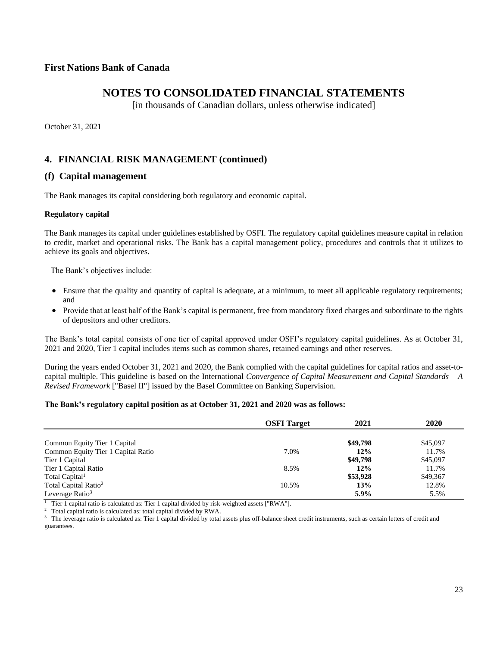## **NOTES TO CONSOLIDATED FINANCIAL STATEMENTS**

[in thousands of Canadian dollars, unless otherwise indicated]

October 31, 2021

### **4. FINANCIAL RISK MANAGEMENT (continued)**

#### **(f) Capital management**

The Bank manages its capital considering both regulatory and economic capital.

#### **Regulatory capital**

The Bank manages its capital under guidelines established by OSFI. The regulatory capital guidelines measure capital in relation to credit, market and operational risks. The Bank has a capital management policy, procedures and controls that it utilizes to achieve its goals and objectives.

The Bank's objectives include:

- Ensure that the quality and quantity of capital is adequate, at a minimum, to meet all applicable regulatory requirements; and
- Provide that at least half of the Bank's capital is permanent, free from mandatory fixed charges and subordinate to the rights of depositors and other creditors.

The Bank's total capital consists of one tier of capital approved under OSFI's regulatory capital guidelines. As at October 31, 2021 and 2020, Tier 1 capital includes items such as common shares, retained earnings and other reserves.

During the years ended October 31, 2021 and 2020, the Bank complied with the capital guidelines for capital ratios and asset-tocapital multiple. This guideline is based on the International *Convergence of Capital Measurement and Capital Standards – A Revised Framework* ["Basel II"] issued by the Basel Committee on Banking Supervision.

#### **The Bank's regulatory capital position as at October 31, 2021 and 2020 was as follows:**

|                                    | <b>OSFI</b> Target | 2021     | 2020     |
|------------------------------------|--------------------|----------|----------|
|                                    |                    |          |          |
| Common Equity Tier 1 Capital       |                    | \$49,798 | \$45,097 |
| Common Equity Tier 1 Capital Ratio | 7.0%               | 12%      | 11.7%    |
| Tier 1 Capital                     |                    | \$49,798 | \$45,097 |
| Tier 1 Capital Ratio               | 8.5%               | 12%      | 11.7%    |
| Total Capital <sup>1</sup>         |                    | \$53,928 | \$49,367 |
| Total Capital Ratio <sup>2</sup>   | 10.5%              | 13%      | 12.8%    |
| Leverage Ratio <sup>3</sup>        |                    | 5.9%     | 5.5%     |

1 Tier 1 capital ratio is calculated as: Tier 1 capital divided by risk-weighted assets ["RWA"].

Total capital ratio is calculated as: total capital divided by RWA.

3 The leverage ratio is calculated as: Tier 1 capital divided by total assets plus off-balance sheet credit instruments, such as certain letters of credit and guarantees.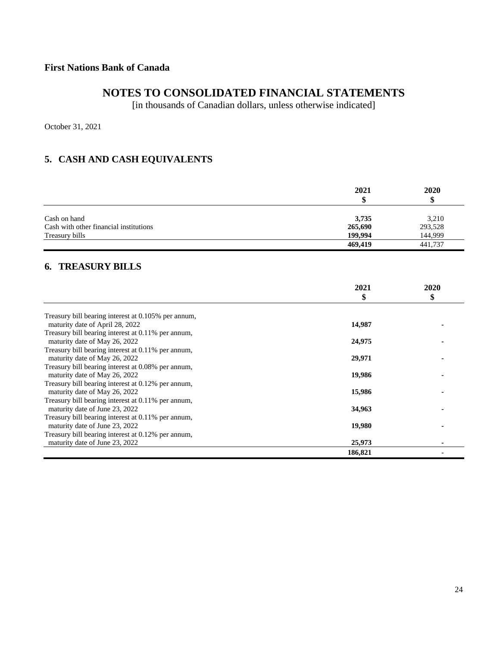# **NOTES TO CONSOLIDATED FINANCIAL STATEMENTS**

[in thousands of Canadian dollars, unless otherwise indicated]

October 31, 2021

# **5. CASH AND CASH EQUIVALENTS**

|                                        | 2021<br>S | 2020    |
|----------------------------------------|-----------|---------|
| Cash on hand                           | 3,735     | 3,210   |
| Cash with other financial institutions | 265,690   | 293,528 |
| Treasury bills                         | 199,994   | 144,999 |
|                                        | 469,419   | 441,737 |

# **6. TREASURY BILLS**

|                                                     | 2021    | 2020 |
|-----------------------------------------------------|---------|------|
|                                                     | \$      | \$   |
| Treasury bill bearing interest at 0.105% per annum, |         |      |
| maturity date of April 28, 2022                     | 14,987  |      |
| Treasury bill bearing interest at 0.11% per annum,  |         |      |
| maturity date of May 26, 2022                       | 24,975  |      |
| Treasury bill bearing interest at 0.11% per annum,  |         |      |
| maturity date of May 26, 2022                       | 29,971  |      |
| Treasury bill bearing interest at 0.08% per annum,  |         |      |
| maturity date of May 26, 2022                       | 19,986  |      |
| Treasury bill bearing interest at 0.12% per annum,  |         |      |
| maturity date of May 26, 2022                       | 15,986  |      |
| Treasury bill bearing interest at 0.11% per annum,  |         |      |
| maturity date of June 23, 2022                      | 34,963  |      |
| Treasury bill bearing interest at 0.11% per annum,  |         |      |
| maturity date of June 23, 2022                      | 19,980  |      |
| Treasury bill bearing interest at 0.12% per annum,  |         |      |
| maturity date of June 23, 2022                      | 25,973  |      |
|                                                     | 186,821 |      |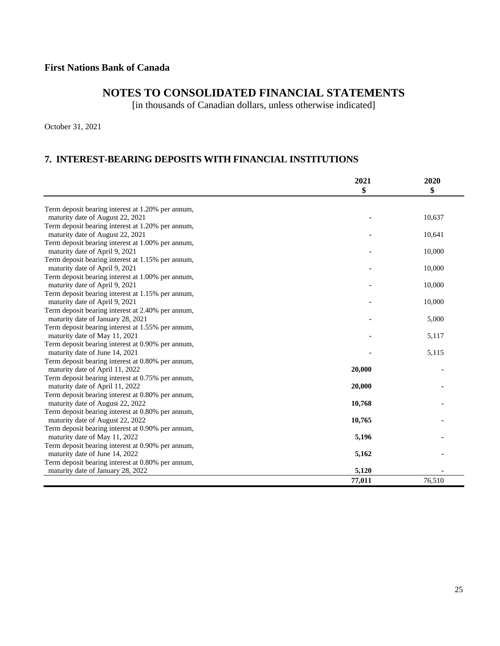[in thousands of Canadian dollars, unless otherwise indicated]

October 31, 2021

## **7. INTEREST-BEARING DEPOSITS WITH FINANCIAL INSTITUTIONS**

|                                                                                       | 2021<br>\$ | 2020<br>\$ |
|---------------------------------------------------------------------------------------|------------|------------|
|                                                                                       |            |            |
| Term deposit bearing interest at 1.20% per annum,<br>maturity date of August 22, 2021 |            | 10,637     |
| Term deposit bearing interest at 1.20% per annum,                                     |            |            |
| maturity date of August 22, 2021                                                      |            | 10,641     |
| Term deposit bearing interest at 1.00% per annum,                                     |            |            |
| maturity date of April 9, 2021                                                        |            | 10,000     |
| Term deposit bearing interest at 1.15% per annum,                                     |            |            |
| maturity date of April 9, 2021                                                        |            | 10,000     |
| Term deposit bearing interest at 1.00% per annum,                                     |            |            |
| maturity date of April 9, 2021                                                        |            | 10,000     |
| Term deposit bearing interest at 1.15% per annum,                                     |            |            |
| maturity date of April 9, 2021                                                        |            | 10,000     |
| Term deposit bearing interest at 2.40% per annum,                                     |            |            |
| maturity date of January 28, 2021                                                     |            | 5,000      |
| Term deposit bearing interest at 1.55% per annum,<br>maturity date of May 11, 2021    |            |            |
| Term deposit bearing interest at 0.90% per annum,                                     |            | 5,117      |
| maturity date of June 14, 2021                                                        |            | 5,115      |
| Term deposit bearing interest at 0.80% per annum,                                     |            |            |
| maturity date of April 11, 2022                                                       | 20,000     |            |
| Term deposit bearing interest at 0.75% per annum,                                     |            |            |
| maturity date of April 11, 2022                                                       | 20,000     |            |
| Term deposit bearing interest at 0.80% per annum,                                     |            |            |
| maturity date of August 22, 2022                                                      | 10,768     |            |
| Term deposit bearing interest at 0.80% per annum,                                     |            |            |
| maturity date of August 22, 2022                                                      | 10,765     |            |
| Term deposit bearing interest at 0.90% per annum,                                     |            |            |
| maturity date of May 11, 2022                                                         | 5,196      |            |
| Term deposit bearing interest at 0.90% per annum,                                     |            |            |
| maturity date of June 14, 2022                                                        | 5,162      |            |
| Term deposit bearing interest at 0.80% per annum,                                     |            |            |
| maturity date of January 28, 2022                                                     | 5,120      |            |
|                                                                                       | 77,011     | 76,510     |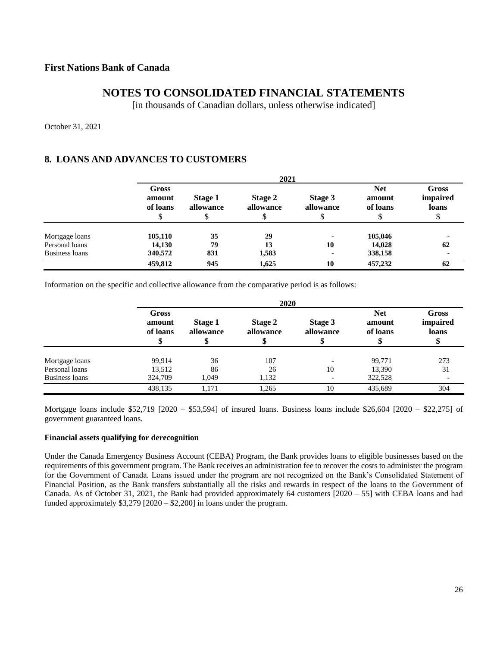### **NOTES TO CONSOLIDATED FINANCIAL STATEMENTS**

[in thousands of Canadian dollars, unless otherwise indicated]

October 31, 2021

### **8. LOANS AND ADVANCES TO CUSTOMERS**

|                |                             | 2021                 |                      |                      |                                  |                            |
|----------------|-----------------------------|----------------------|----------------------|----------------------|----------------------------------|----------------------------|
|                | Gross<br>amount<br>of loans | Stage 1<br>allowance | Stage 2<br>allowance | Stage 3<br>allowance | <b>Net</b><br>amount<br>of loans | Gross<br>impaired<br>loans |
| Mortgage loans | 105,110                     | 35                   | 29                   |                      | 105,046                          |                            |
| Personal loans | 14,130                      | 79                   | 13                   | 10                   | 14,028                           | 62                         |
| Business loans | 340,572                     | 831                  | 1,583                |                      | 338,158                          |                            |
|                | 459,812                     | 945                  | 1.625                | 10                   | 457,232                          | 62                         |

Information on the specific and collective allowance from the comparative period is as follows:

|                |                                  | 2020                 |                      |                           |                                        |                                  |
|----------------|----------------------------------|----------------------|----------------------|---------------------------|----------------------------------------|----------------------------------|
|                | Gross<br>amount<br>of loans<br>Φ | Stage 1<br>allowance | Stage 2<br>allowance | Stage 3<br>allowance<br>Φ | <b>Net</b><br>amount<br>of loans<br>\$ | Gross<br>impaired<br>loans<br>\$ |
| Mortgage loans | 99.914                           | 36                   | 107                  |                           | 99.771                                 | 273                              |
| Personal loans | 13,512                           | 86                   | 26                   | 10                        | 13,390                                 | 31                               |
| Business loans | 324,709                          | L.049                | 1,132                |                           | 322,528                                |                                  |
|                | 438,135                          | 1,171                | 1,265                | 10                        | 435,689                                | 304                              |

Mortgage loans include  $$52,719$  [2020 – \$53,594] of insured loans. Business loans include  $$26,604$  [2020 – \$22,275] of government guaranteed loans.

#### **Financial assets qualifying for derecognition**

Under the Canada Emergency Business Account (CEBA) Program, the Bank provides loans to eligible businesses based on the requirements of this government program. The Bank receives an administration fee to recover the costs to administer the program for the Government of Canada. Loans issued under the program are not recognized on the Bank's Consolidated Statement of Financial Position, as the Bank transfers substantially all the risks and rewards in respect of the loans to the Government of Canada. As of October 31, 2021, the Bank had provided approximately 64 customers [2020 – 55] with CEBA loans and had funded approximately \$3,279 [2020 – \$2,200] in loans under the program.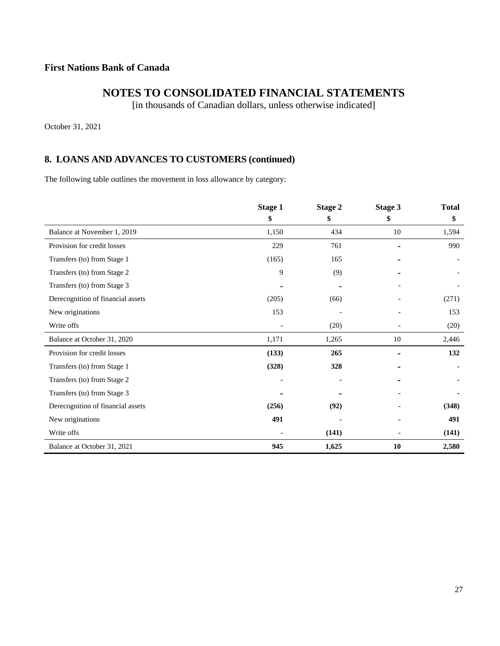# **NOTES TO CONSOLIDATED FINANCIAL STATEMENTS**

[in thousands of Canadian dollars, unless otherwise indicated]

October 31, 2021

### **8. LOANS AND ADVANCES TO CUSTOMERS (continued)**

The following table outlines the movement in loss allowance by category:

|                                   | <b>Stage 1</b> | Stage 2 | Stage 3 | <b>Total</b> |
|-----------------------------------|----------------|---------|---------|--------------|
|                                   | \$             | \$      | \$      | \$           |
| Balance at November 1, 2019       | 1,150          | 434     | 10      | 1,594        |
| Provision for credit losses       | 229            | 761     |         | 990          |
| Transfers (to) from Stage 1       | (165)          | 165     |         |              |
| Transfers (to) from Stage 2       | 9              | (9)     |         |              |
| Transfers (to) from Stage 3       |                |         |         |              |
| Derecognition of financial assets | (205)          | (66)    |         | (271)        |
| New originations                  | 153            |         |         | 153          |
| Write offs                        |                | (20)    |         | (20)         |
| Balance at October 31, 2020       | 1,171          | 1,265   | 10      | 2,446        |
| Provision for credit losses       | (133)          | 265     |         | 132          |
| Transfers (to) from Stage 1       | (328)          | 328     |         |              |
| Transfers (to) from Stage 2       |                |         |         |              |
| Transfers (to) from Stage 3       |                |         |         |              |
| Derecognition of financial assets | (256)          | (92)    |         | (348)        |
| New originations                  | 491            |         |         | 491          |
| Write offs                        |                | (141)   |         | (141)        |
| Balance at October 31, 2021       | 945            | 1,625   | 10      | 2,580        |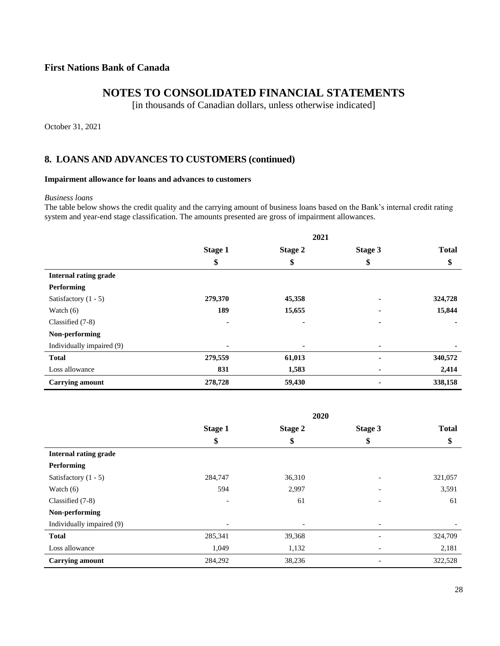# **NOTES TO CONSOLIDATED FINANCIAL STATEMENTS**

[in thousands of Canadian dollars, unless otherwise indicated]

October 31, 2021

### **8. LOANS AND ADVANCES TO CUSTOMERS (continued)**

#### **Impairment allowance for loans and advances to customers**

#### *Business loans*

The table below shows the credit quality and the carrying amount of business loans based on the Bank's internal credit rating system and year-end stage classification. The amounts presented are gross of impairment allowances.

|                              | 2021    |                |         |              |  |
|------------------------------|---------|----------------|---------|--------------|--|
|                              | Stage 1 | <b>Stage 2</b> | Stage 3 | <b>Total</b> |  |
|                              | \$      | \$             | \$      | \$           |  |
| <b>Internal rating grade</b> |         |                |         |              |  |
| <b>Performing</b>            |         |                |         |              |  |
| Satisfactory $(1 - 5)$       | 279,370 | 45,358         | ۰       | 324,728      |  |
| Watch $(6)$                  | 189     | 15,655         | ۰       | 15,844       |  |
| Classified (7-8)             | ٠       | $\blacksquare$ | ۰       |              |  |
| Non-performing               |         |                |         |              |  |
| Individually impaired (9)    | ۰       | $\blacksquare$ | ۰       |              |  |
| <b>Total</b>                 | 279,559 | 61,013         | ۰       | 340,572      |  |
| Loss allowance               | 831     | 1,583          | ۰       | 2,414        |  |
| <b>Carrying amount</b>       | 278,728 | 59,430         | ۰       | 338,158      |  |

|                              | 2020                     |                          |                          |              |  |  |
|------------------------------|--------------------------|--------------------------|--------------------------|--------------|--|--|
|                              | Stage 1                  | <b>Stage 2</b>           | Stage 3                  | <b>Total</b> |  |  |
|                              | \$                       | \$                       | \$                       | \$           |  |  |
| <b>Internal rating grade</b> |                          |                          |                          |              |  |  |
| <b>Performing</b>            |                          |                          |                          |              |  |  |
| Satisfactory $(1 - 5)$       | 284,747                  | 36,310                   |                          | 321,057      |  |  |
| Watch $(6)$                  | 594                      | 2,997                    |                          | 3,591        |  |  |
| Classified (7-8)             | $\overline{\phantom{a}}$ | 61                       | $\overline{\phantom{a}}$ | 61           |  |  |
| Non-performing               |                          |                          |                          |              |  |  |
| Individually impaired (9)    | $\overline{\phantom{a}}$ | $\overline{\phantom{a}}$ | $\overline{\phantom{a}}$ |              |  |  |
| <b>Total</b>                 | 285,341                  | 39,368                   |                          | 324,709      |  |  |
| Loss allowance               | 1,049                    | 1,132                    |                          | 2,181        |  |  |
| <b>Carrying amount</b>       | 284,292                  | 38,236                   |                          | 322,528      |  |  |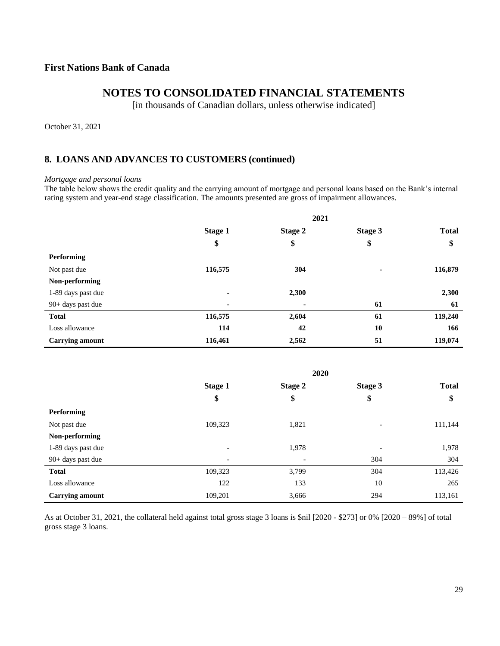[in thousands of Canadian dollars, unless otherwise indicated]

October 31, 2021

#### **8. LOANS AND ADVANCES TO CUSTOMERS (continued)**

#### *Mortgage and personal loans*

The table below shows the credit quality and the carrying amount of mortgage and personal loans based on the Bank's internal rating system and year-end stage classification. The amounts presented are gross of impairment allowances.

|                        | 2021           |         |         |              |  |
|------------------------|----------------|---------|---------|--------------|--|
|                        | <b>Stage 1</b> | Stage 2 | Stage 3 | <b>Total</b> |  |
|                        | \$             | \$      | \$      | \$           |  |
| <b>Performing</b>      |                |         |         |              |  |
| Not past due           | 116,575        | 304     | ۰       | 116,879      |  |
| Non-performing         |                |         |         |              |  |
| 1-89 days past due     | ۰              | 2,300   |         | 2,300        |  |
| 90+ days past due      | ۰              | ٠       | 61      | 61           |  |
| <b>Total</b>           | 116,575        | 2,604   | 61      | 119,240      |  |
| Loss allowance         | 114            | 42      | 10      | 166          |  |
| <b>Carrying amount</b> | 116,461        | 2,562   | 51      | 119,074      |  |

|                        | 2020                     |                          |                              |              |  |
|------------------------|--------------------------|--------------------------|------------------------------|--------------|--|
|                        | <b>Stage 1</b>           | <b>Stage 2</b>           | Stage 3                      | <b>Total</b> |  |
|                        | \$                       | \$                       | \$                           | \$           |  |
| <b>Performing</b>      |                          |                          |                              |              |  |
| Not past due           | 109,323                  | 1,821                    | $\qquad \qquad \blacksquare$ | 111,144      |  |
| Non-performing         |                          |                          |                              |              |  |
| 1-89 days past due     | $\overline{\phantom{a}}$ | 1,978                    | $\overline{\phantom{a}}$     | 1,978        |  |
| 90+ days past due      | $\overline{\phantom{a}}$ | $\overline{\phantom{a}}$ | 304                          | 304          |  |
| <b>Total</b>           | 109,323                  | 3,799                    | 304                          | 113,426      |  |
| Loss allowance         | 122                      | 133                      | 10                           | 265          |  |
| <b>Carrying amount</b> | 109,201                  | 3,666                    | 294                          | 113,161      |  |

As at October 31, 2021, the collateral held against total gross stage 3 loans is \$nil [2020 - \$273] or 0% [2020 – 89%] of total gross stage 3 loans.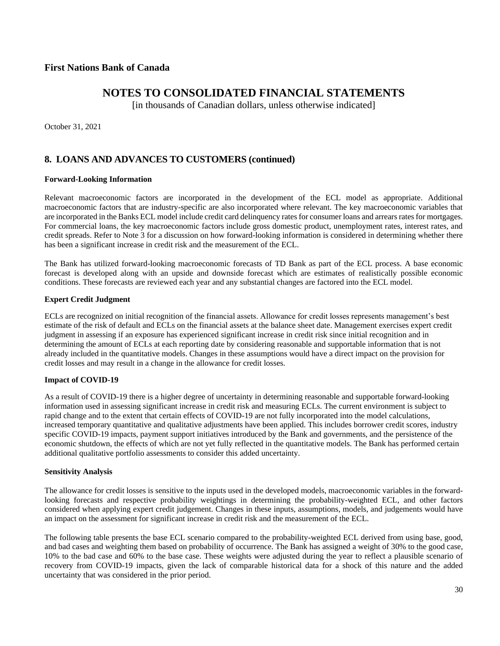[in thousands of Canadian dollars, unless otherwise indicated]

October 31, 2021

### **8. LOANS AND ADVANCES TO CUSTOMERS (continued)**

#### **Forward-Looking Information**

Relevant macroeconomic factors are incorporated in the development of the ECL model as appropriate. Additional macroeconomic factors that are industry-specific are also incorporated where relevant. The key macroeconomic variables that are incorporated in the Banks ECL model include credit card delinquency rates for consumer loans and arrears rates for mortgages. For commercial loans, the key macroeconomic factors include gross domestic product, unemployment rates, interest rates, and credit spreads. Refer to Note 3 for a discussion on how forward-looking information is considered in determining whether there has been a significant increase in credit risk and the measurement of the ECL.

The Bank has utilized forward-looking macroeconomic forecasts of TD Bank as part of the ECL process. A base economic forecast is developed along with an upside and downside forecast which are estimates of realistically possible economic conditions. These forecasts are reviewed each year and any substantial changes are factored into the ECL model.

#### **Expert Credit Judgment**

ECLs are recognized on initial recognition of the financial assets. Allowance for credit losses represents management's best estimate of the risk of default and ECLs on the financial assets at the balance sheet date. Management exercises expert credit judgment in assessing if an exposure has experienced significant increase in credit risk since initial recognition and in determining the amount of ECLs at each reporting date by considering reasonable and supportable information that is not already included in the quantitative models. Changes in these assumptions would have a direct impact on the provision for credit losses and may result in a change in the allowance for credit losses.

#### **Impact of COVID-19**

As a result of COVID-19 there is a higher degree of uncertainty in determining reasonable and supportable forward-looking information used in assessing significant increase in credit risk and measuring ECLs. The current environment is subject to rapid change and to the extent that certain effects of COVID-19 are not fully incorporated into the model calculations, increased temporary quantitative and qualitative adjustments have been applied. This includes borrower credit scores, industry specific COVID-19 impacts, payment support initiatives introduced by the Bank and governments, and the persistence of the economic shutdown, the effects of which are not yet fully reflected in the quantitative models. The Bank has performed certain additional qualitative portfolio assessments to consider this added uncertainty.

#### **Sensitivity Analysis**

The allowance for credit losses is sensitive to the inputs used in the developed models, macroeconomic variables in the forwardlooking forecasts and respective probability weightings in determining the probability-weighted ECL, and other factors considered when applying expert credit judgement. Changes in these inputs, assumptions, models, and judgements would have an impact on the assessment for significant increase in credit risk and the measurement of the ECL.

The following table presents the base ECL scenario compared to the probability-weighted ECL derived from using base, good, and bad cases and weighting them based on probability of occurrence. The Bank has assigned a weight of 30% to the good case, 10% to the bad case and 60% to the base case. These weights were adjusted during the year to reflect a plausible scenario of recovery from COVID-19 impacts, given the lack of comparable historical data for a shock of this nature and the added uncertainty that was considered in the prior period.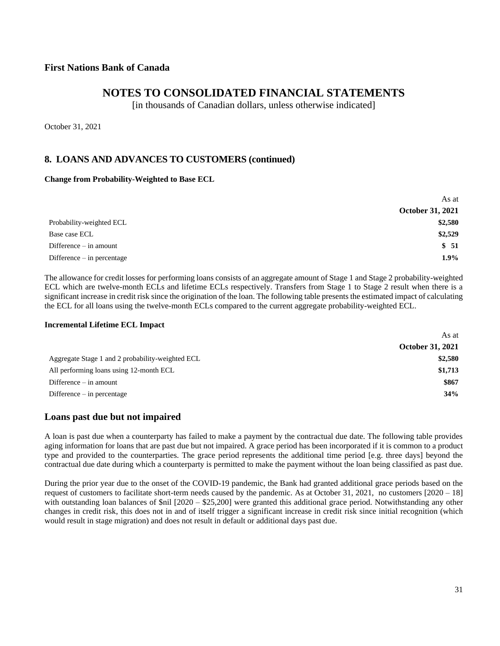## **NOTES TO CONSOLIDATED FINANCIAL STATEMENTS**

[in thousands of Canadian dollars, unless otherwise indicated]

October 31, 2021

### **8. LOANS AND ADVANCES TO CUSTOMERS (continued)**

#### **Change from Probability-Weighted to Base ECL**

|                            | As at                   |
|----------------------------|-------------------------|
|                            | <b>October 31, 2021</b> |
| Probability-weighted ECL   | \$2,580                 |
| Base case ECL              | \$2,529                 |
| Difference $-$ in amount   | \$51                    |
| Difference – in percentage | $1.9\%$                 |

The allowance for credit losses for performing loans consists of an aggregate amount of Stage 1 and Stage 2 probability-weighted ECL which are twelve-month ECLs and lifetime ECLs respectively. Transfers from Stage 1 to Stage 2 result when there is a significant increase in credit risk since the origination of the loan. The following table presents the estimated impact of calculating the ECL for all loans using the twelve-month ECLs compared to the current aggregate probability-weighted ECL.

#### **Incremental Lifetime ECL Impact**

|                                                  | As at                   |
|--------------------------------------------------|-------------------------|
|                                                  | <b>October 31, 2021</b> |
| Aggregate Stage 1 and 2 probability-weighted ECL | \$2,580                 |
| All performing loans using 12-month ECL          | \$1,713                 |
| Difference $-$ in amount                         | \$867                   |
| Difference $-$ in percentage                     | 34%                     |

#### **Loans past due but not impaired**

A loan is past due when a counterparty has failed to make a payment by the contractual due date. The following table provides aging information for loans that are past due but not impaired. A grace period has been incorporated if it is common to a product type and provided to the counterparties. The grace period represents the additional time period [e.g. three days] beyond the contractual due date during which a counterparty is permitted to make the payment without the loan being classified as past due.

During the prior year due to the onset of the COVID-19 pandemic, the Bank had granted additional grace periods based on the request of customers to facilitate short-term needs caused by the pandemic. As at October 31, 2021, no customers [2020 – 18] with outstanding loan balances of \$nil [2020 – \$25,200] were granted this additional grace period. Notwithstanding any other changes in credit risk, this does not in and of itself trigger a significant increase in credit risk since initial recognition (which would result in stage migration) and does not result in default or additional days past due.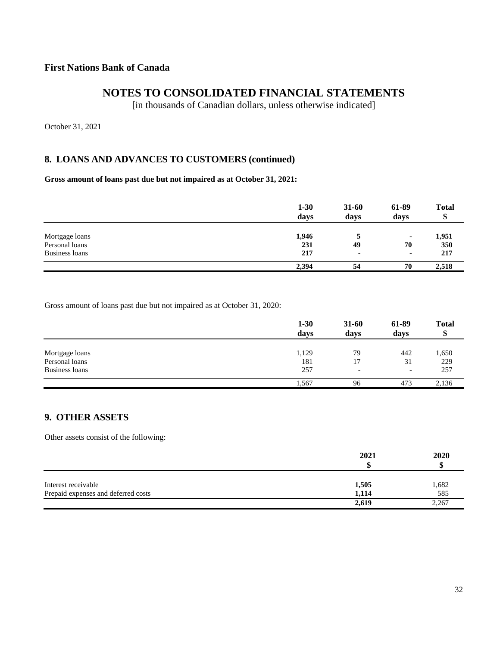# **NOTES TO CONSOLIDATED FINANCIAL STATEMENTS**

[in thousands of Canadian dollars, unless otherwise indicated]

October 31, 2021

### **8. LOANS AND ADVANCES TO CUSTOMERS (continued)**

#### **Gross amount of loans past due but not impaired as at October 31, 2021:**

|                | $1 - 30$<br>days | $31-60$<br>days | 61-89<br>davs | <b>Total</b><br>Φ |
|----------------|------------------|-----------------|---------------|-------------------|
|                |                  |                 |               |                   |
| Mortgage loans | 1,946            |                 | $\sim$        | 1,951             |
| Personal loans | 231              | 49              | 70            | 350               |
| Business loans | 217              | ۰               | $\sim$        | 217               |
|                | 2,394            | 54              | 70            | 2,518             |

Gross amount of loans past due but not impaired as at October 31, 2020:

|                | $1 - 30$<br>davs | $31 - 60$<br>days | 61-89<br>days            | <b>Total</b><br>Φ |
|----------------|------------------|-------------------|--------------------------|-------------------|
|                |                  |                   |                          |                   |
| Mortgage loans | 1,129            | 79                | 442                      | 1,650             |
| Personal loans | 181              | 17                | 31                       | 229               |
| Business loans | 257              | -                 | $\overline{\phantom{a}}$ | 257               |
|                | l.567            | 96                | 473                      | 2,136             |

# **9. OTHER ASSETS**

Other assets consist of the following:

|                                     | 2021  | 2020  |
|-------------------------------------|-------|-------|
|                                     |       |       |
| Interest receivable                 | 1,505 | 1,682 |
| Prepaid expenses and deferred costs | 1,114 | 585   |
|                                     | 2,619 | 2,267 |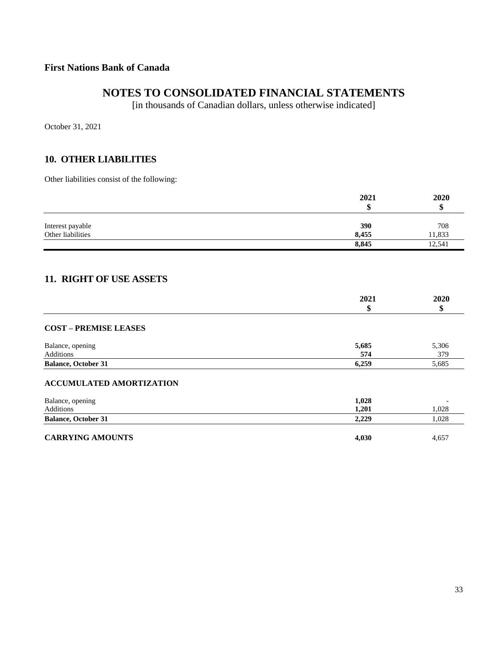# **NOTES TO CONSOLIDATED FINANCIAL STATEMENTS**

[in thousands of Canadian dollars, unless otherwise indicated]

October 31, 2021

## **10. OTHER LIABILITIES**

Other liabilities consist of the following:

|                   | 2021    | 2020   |  |
|-------------------|---------|--------|--|
|                   | ¢<br>۰D |        |  |
|                   |         |        |  |
| Interest payable  | 390     | 708    |  |
| Other liabilities | 8,455   | 11,833 |  |
|                   | 8,845   | 12,541 |  |

### **11. RIGHT OF USE ASSETS**

|                                 | 2021<br>\$   | 2020<br>\$   |
|---------------------------------|--------------|--------------|
| <b>COST - PREMISE LEASES</b>    |              |              |
| Balance, opening<br>Additions   | 5,685<br>574 | 5,306<br>379 |
| <b>Balance, October 31</b>      | 6,259        | 5,685        |
| <b>ACCUMULATED AMORTIZATION</b> |              |              |
| Balance, opening                | 1,028        |              |
| Additions                       | 1,201        | 1,028        |
| <b>Balance, October 31</b>      | 2,229        | 1,028        |
| <b>CARRYING AMOUNTS</b>         | 4,030        | 4,657        |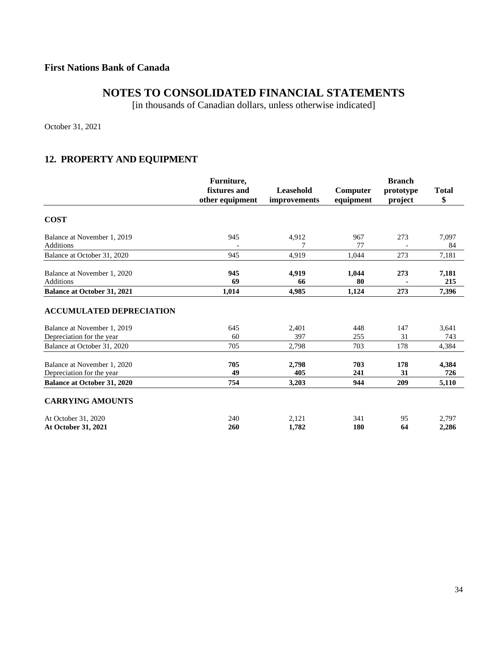# **NOTES TO CONSOLIDATED FINANCIAL STATEMENTS**

[in thousands of Canadian dollars, unless otherwise indicated]

October 31, 2021

# **12. PROPERTY AND EQUIPMENT**

|                                                          | Furniture,<br>fixtures and<br>other equipment | Leasehold<br><i>improvements</i> | Computer<br>equipment | <b>Branch</b><br>prototype<br>project | <b>Total</b><br>\$ |
|----------------------------------------------------------|-----------------------------------------------|----------------------------------|-----------------------|---------------------------------------|--------------------|
| <b>COST</b>                                              |                                               |                                  |                       |                                       |                    |
| Balance at November 1, 2019<br><b>Additions</b>          | 945                                           | 4,912<br>7                       | 967<br>77             | 273                                   | 7,097<br>84        |
| Balance at October 31, 2020                              | 945                                           | 4,919                            | 1,044                 | 273                                   | 7,181              |
| Balance at November 1, 2020<br>Additions                 | 945<br>69                                     | 4,919<br>66                      | 1,044<br>80           | 273                                   | 7,181<br>215       |
| <b>Balance at October 31, 2021</b>                       | 1,014                                         | 4,985                            | 1,124                 | 273                                   | 7,396              |
| <b>ACCUMULATED DEPRECIATION</b>                          |                                               |                                  |                       |                                       |                    |
| Balance at November 1, 2019<br>Depreciation for the year | 645<br>60                                     | 2,401<br>397                     | 448<br>255            | 147<br>31                             | 3,641<br>743       |
| Balance at October 31, 2020                              | 705                                           | 2,798                            | 703                   | 178                                   | 4,384              |
| Balance at November 1, 2020<br>Depreciation for the year | 705<br>49                                     | 2,798<br>405                     | 703<br>241            | 178<br>31                             | 4,384<br>726       |
| <b>Balance at October 31, 2020</b>                       | 754                                           | 3,203                            | 944                   | 209                                   | 5,110              |
| <b>CARRYING AMOUNTS</b>                                  |                                               |                                  |                       |                                       |                    |
| At October 31, 2020<br>At October 31, 2021               | 240<br>260                                    | 2,121<br>1,782                   | 341<br>180            | 95<br>64                              | 2,797<br>2,286     |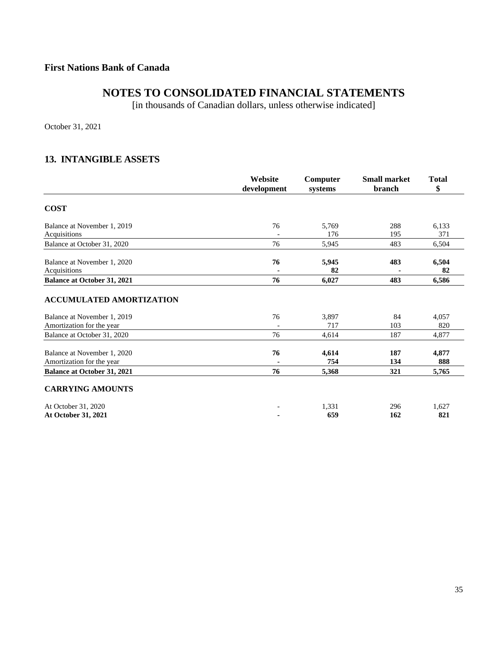# **NOTES TO CONSOLIDATED FINANCIAL STATEMENTS**

[in thousands of Canadian dollars, unless otherwise indicated]

October 31, 2021

## **13. INTANGIBLE ASSETS**

|                                             | Website<br>development | Computer<br>systems | <b>Small market</b><br>branch | <b>Total</b><br>\$ |
|---------------------------------------------|------------------------|---------------------|-------------------------------|--------------------|
| <b>COST</b>                                 |                        |                     |                               |                    |
| Balance at November 1, 2019                 | 76                     | 5,769               | 288                           | 6,133              |
| Acquisitions                                |                        | 176                 | 195                           | 371                |
| Balance at October 31, 2020                 | 76                     | 5,945               | 483                           | 6,504              |
| Balance at November 1, 2020<br>Acquisitions | 76                     | 5,945<br>82         | 483                           | 6,504<br>82        |
| <b>Balance at October 31, 2021</b>          | 76                     | 6,027               | 483                           | 6,586              |
| <b>ACCUMULATED AMORTIZATION</b>             |                        |                     |                               |                    |
| Balance at November 1, 2019                 | 76                     | 3,897               | 84                            | 4.057              |
| Amortization for the year                   |                        | 717                 | 103                           | 820                |
| Balance at October 31, 2020                 | 76                     | 4,614               | 187                           | 4,877              |
| Balance at November 1, 2020                 | 76                     | 4,614               | 187                           | 4,877              |
| Amortization for the year                   |                        | 754                 | 134                           | 888                |
| <b>Balance at October 31, 2021</b>          | 76                     | 5,368               | 321                           | 5,765              |
| <b>CARRYING AMOUNTS</b>                     |                        |                     |                               |                    |
| At October 31, 2020                         |                        | 1,331               | 296                           | 1,627              |
| At October 31, 2021                         |                        | 659                 | 162                           | 821                |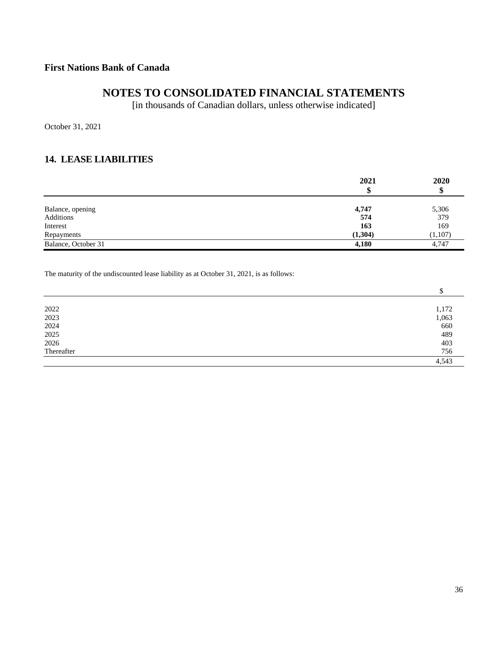# **NOTES TO CONSOLIDATED FINANCIAL STATEMENTS**

[in thousands of Canadian dollars, unless otherwise indicated]

October 31, 2021

## **14. LEASE LIABILITIES**

|                     | 2021<br>Φ | 2020<br>\$ |
|---------------------|-----------|------------|
| Balance, opening    | 4,747     | 5,306      |
| Additions           | 574       | 379        |
| Interest            | 163       | 169        |
| Repayments          | (1, 304)  | (1,107)    |
| Balance, October 31 | 4,180     | 4,747      |

The maturity of the undiscounted lease liability as at October 31, 2021, is as follows:

|                                                    | $1,172$<br>$1,063$<br>$660$<br>$489$ |
|----------------------------------------------------|--------------------------------------|
|                                                    | 403                                  |
| 2022<br>2023<br>2024<br>2025<br>2026<br>Thereafter | 756                                  |
|                                                    | 4,543                                |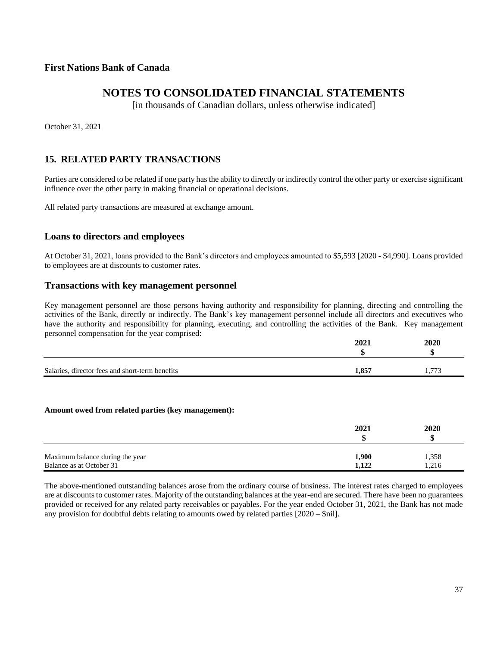# **NOTES TO CONSOLIDATED FINANCIAL STATEMENTS**

[in thousands of Canadian dollars, unless otherwise indicated]

October 31, 2021

### **15. RELATED PARTY TRANSACTIONS**

Parties are considered to be related if one party has the ability to directly or indirectly control the other party or exercise significant influence over the other party in making financial or operational decisions.

All related party transactions are measured at exchange amount.

#### **Loans to directors and employees**

At October 31, 2021, loans provided to the Bank's directors and employees amounted to \$5,593 [2020 - \$4,990]. Loans provided to employees are at discounts to customer rates.

#### **Transactions with key management personnel**

Key management personnel are those persons having authority and responsibility for planning, directing and controlling the activities of the Bank, directly or indirectly. The Bank's key management personnel include all directors and executives who have the authority and responsibility for planning, executing, and controlling the activities of the Bank. Key management personnel compensation for the year comprised:

|                                                 | 2021 | 2020    |
|-------------------------------------------------|------|---------|
| Salaries, director fees and short-term benefits | OE5  | $- - -$ |

#### **Amount owed from related parties (key management):**

|                                 | 2021<br>S | 2020  |
|---------------------------------|-----------|-------|
| Maximum balance during the year | 1,900     | 1,358 |
| Balance as at October 31        | 1,122     | 1,216 |

The above-mentioned outstanding balances arose from the ordinary course of business. The interest rates charged to employees are at discounts to customer rates. Majority of the outstanding balances at the year-end are secured. There have been no guarantees provided or received for any related party receivables or payables. For the year ended October 31, 2021, the Bank has not made any provision for doubtful debts relating to amounts owed by related parties [2020 – \$nil].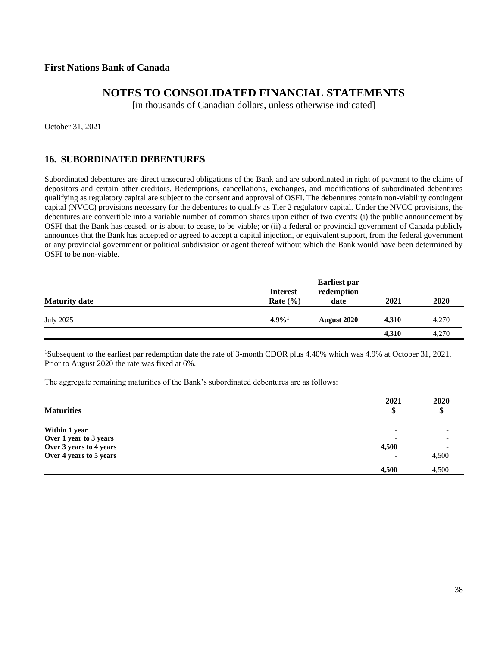[in thousands of Canadian dollars, unless otherwise indicated]

October 31, 2021

### **16. SUBORDINATED DEBENTURES**

Subordinated debentures are direct unsecured obligations of the Bank and are subordinated in right of payment to the claims of depositors and certain other creditors. Redemptions, cancellations, exchanges, and modifications of subordinated debentures qualifying as regulatory capital are subject to the consent and approval of OSFI. The debentures contain non-viability contingent capital (NVCC) provisions necessary for the debentures to qualify as Tier 2 regulatory capital. Under the NVCC provisions, the debentures are convertible into a variable number of common shares upon either of two events: (i) the public announcement by OSFI that the Bank has ceased, or is about to cease, to be viable; or (ii) a federal or provincial government of Canada publicly announces that the Bank has accepted or agreed to accept a capital injection, or equivalent support, from the federal government or any provincial government or political subdivision or agent thereof without which the Bank would have been determined by OSFI to be non-viable.

| <b>Maturity date</b> | <b>Interest</b><br>Rate $(\% )$ | <b>Earliest par</b><br>redemption<br>date | 2021  | 2020  |
|----------------------|---------------------------------|-------------------------------------------|-------|-------|
| July 2025            | $4.9\%$ <sup>1</sup>            | <b>August 2020</b>                        | 4.310 | 4,270 |
|                      |                                 |                                           | 4,310 | 4,270 |

<sup>1</sup>Subsequent to the earliest par redemption date the rate of 3-month CDOR plus 4.40% which was 4.9% at October 31, 2021. Prior to August 2020 the rate was fixed at 6%.

The aggregate remaining maturities of the Bank's subordinated debentures are as follows:

| <b>Maturities</b>       | 2021<br>S                | 2020<br>۰D |
|-------------------------|--------------------------|------------|
|                         |                          |            |
| Within 1 year           | $\overline{\phantom{0}}$ |            |
| Over 1 year to 3 years  | $\overline{\phantom{0}}$ |            |
| Over 3 years to 4 years | 4,500                    |            |
| Over 4 years to 5 years | ٠                        | 4,500      |
|                         | 4,500                    | 4,500      |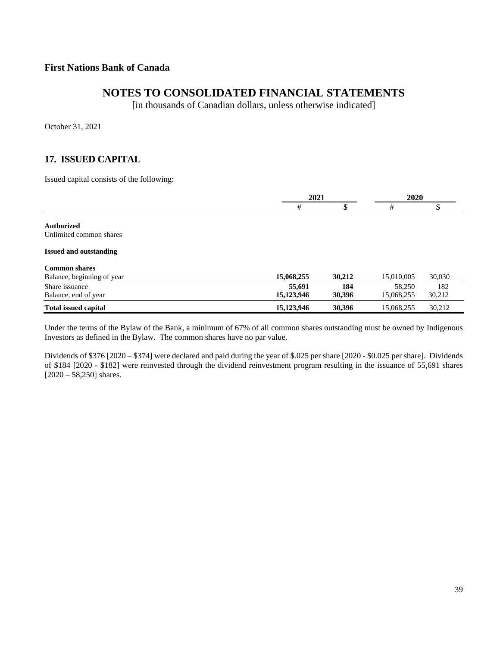# **NOTES TO CONSOLIDATED FINANCIAL STATEMENTS**

[in thousands of Canadian dollars, unless otherwise indicated]

October 31, 2021

### **17. ISSUED CAPITAL**

Issued capital consists of the following:

| 2021       |        | <b>2020</b> |        |
|------------|--------|-------------|--------|
| #          | ۰D     | #           | Φ      |
|            |        |             |        |
|            |        |             |        |
|            |        |             |        |
| 15,068,255 | 30,212 | 15,010,005  | 30,030 |
| 55,691     | 184    | 58,250      | 182    |
| 15,123,946 | 30,396 | 15,068,255  | 30,212 |
| 15,123,946 | 30,396 | 15,068,255  | 30,212 |
|            |        |             |        |

Under the terms of the Bylaw of the Bank, a minimum of 67% of all common shares outstanding must be owned by Indigenous Investors as defined in the Bylaw. The common shares have no par value.

Dividends of \$376 [2020 – \$374] were declared and paid during the year of \$.025 per share [2020 - \$0.025 per share]. Dividends of \$184 [2020 - \$182] were reinvested through the dividend reinvestment program resulting in the issuance of 55,691 shares  $[2020 - 58,250]$  shares.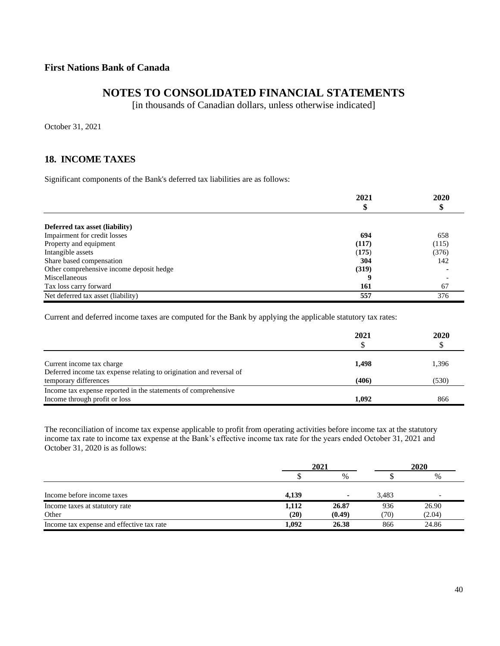# **NOTES TO CONSOLIDATED FINANCIAL STATEMENTS**

[in thousands of Canadian dollars, unless otherwise indicated]

October 31, 2021

### **18. INCOME TAXES**

Significant components of the Bank's deferred tax liabilities are as follows:

|                                          | 2021  | 2020  |
|------------------------------------------|-------|-------|
|                                          |       | \$    |
| Deferred tax asset (liability)           |       |       |
| Impairment for credit losses             | 694   | 658   |
| Property and equipment                   | (117) | (115) |
| Intangible assets                        | (175) | (376) |
| Share based compensation                 | 304   | 142   |
| Other comprehensive income deposit hedge | (319) |       |
| Miscellaneous                            | u     |       |
| Tax loss carry forward                   | 161   | 67    |
| Net deferred tax asset (liability)       | 557   | 376   |

Current and deferred income taxes are computed for the Bank by applying the applicable statutory tax rates:

|                                                                                                 | 2021  | 2020<br>◡ |
|-------------------------------------------------------------------------------------------------|-------|-----------|
| Current income tax charge                                                                       | 1.498 | 1,396     |
| Deferred income tax expense relating to origination and reversal of<br>temporary differences    | (406) | (530)     |
| Income tax expense reported in the statements of comprehensive<br>Income through profit or loss | 1.092 | 866       |

The reconciliation of income tax expense applicable to profit from operating activities before income tax at the statutory income tax rate to income tax expense at the Bank's effective income tax rate for the years ended October 31, 2021 and October 31, 2020 is as follows:

|                                           | 2021          |                 |            | 2020                     |
|-------------------------------------------|---------------|-----------------|------------|--------------------------|
|                                           |               | $\%$            |            | $\%$                     |
| Income before income taxes                | 4.139         | $\sim$          | 3.483      | $\overline{\phantom{a}}$ |
| Income taxes at statutory rate<br>Other   | 1,112<br>(20) | 26.87<br>(0.49) | 936<br>70) | 26.90<br>(2.04)          |
| Income tax expense and effective tax rate | 1.092         | 26.38           | 866        | 24.86                    |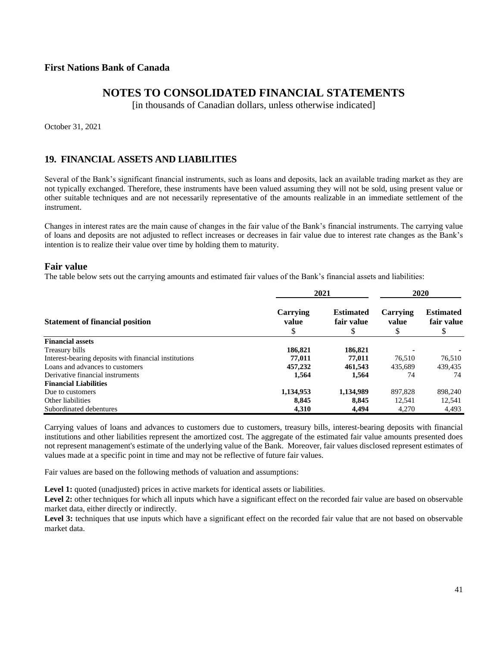[in thousands of Canadian dollars, unless otherwise indicated]

October 31, 2021

### **19. FINANCIAL ASSETS AND LIABILITIES**

Several of the Bank's significant financial instruments, such as loans and deposits, lack an available trading market as they are not typically exchanged. Therefore, these instruments have been valued assuming they will not be sold, using present value or other suitable techniques and are not necessarily representative of the amounts realizable in an immediate settlement of the instrument.

Changes in interest rates are the main cause of changes in the fair value of the Bank's financial instruments. The carrying value of loans and deposits are not adjusted to reflect increases or decreases in fair value due to interest rate changes as the Bank's intention is to realize their value over time by holding them to maturity.

#### **Fair value**

The table below sets out the carrying amounts and estimated fair values of the Bank's financial assets and liabilities:

|                                                       | 2021                    | 2020                                |                        |                                     |
|-------------------------------------------------------|-------------------------|-------------------------------------|------------------------|-------------------------------------|
| <b>Statement of financial position</b>                | Carrying<br>value<br>\$ | <b>Estimated</b><br>fair value<br>D | Carrying<br>value<br>S | <b>Estimated</b><br>fair value<br>S |
| <b>Financial assets</b>                               |                         |                                     |                        |                                     |
| Treasury bills                                        | 186.821                 | 186,821                             |                        |                                     |
| Interest-bearing deposits with financial institutions | 77.011                  | 77,011                              | 76.510                 | 76,510                              |
| Loans and advances to customers                       | 457,232                 | 461,543                             | 435.689                | 439.435                             |
| Derivative financial instruments                      | 1,564                   | 1,564                               | 74                     | 74                                  |
| <b>Financial Liabilities</b>                          |                         |                                     |                        |                                     |
| Due to customers                                      | 1,134,953               | 1.134.989                           | 897.828                | 898,240                             |
| Other liabilities                                     | 8,845                   | 8.845                               | 12.541                 | 12,541                              |
| Subordinated debentures                               | 4,310                   | 4.494                               | 4.270                  | 4,493                               |

Carrying values of loans and advances to customers due to customers, treasury bills, interest-bearing deposits with financial institutions and other liabilities represent the amortized cost. The aggregate of the estimated fair value amounts presented does not represent management's estimate of the underlying value of the Bank. Moreover, fair values disclosed represent estimates of values made at a specific point in time and may not be reflective of future fair values.

Fair values are based on the following methods of valuation and assumptions:

Level 1: quoted (unadjusted) prices in active markets for identical assets or liabilities.

Level 2: other techniques for which all inputs which have a significant effect on the recorded fair value are based on observable market data, either directly or indirectly.

Level 3: techniques that use inputs which have a significant effect on the recorded fair value that are not based on observable market data.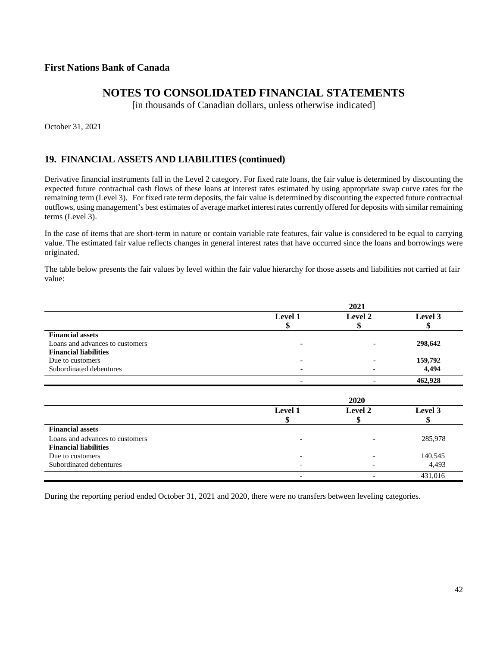[in thousands of Canadian dollars, unless otherwise indicated]

October 31, 2021

## **19. FINANCIAL ASSETS AND LIABILITIES (continued)**

Derivative financial instruments fall in the Level 2 category. For fixed rate loans, the fair value is determined by discounting the expected future contractual cash flows of these loans at interest rates estimated by using appropriate swap curve rates for the remaining term (Level 3). For fixed rate term deposits, the fair value is determined by discounting the expected future contractual outflows, using management's best estimates of average market interest rates currently offered for deposits with similar remaining terms (Level 3).

In the case of items that are short-term in nature or contain variable rate features, fair value is considered to be equal to carrying value. The estimated fair value reflects changes in general interest rates that have occurred since the loans and borrowings were originated.

The table below presents the fair values by level within the fair value hierarchy for those assets and liabilities not carried at fair value:

|                                 |                | 2021          |         |
|---------------------------------|----------------|---------------|---------|
|                                 | Level 1        | Level 2       | Level 3 |
|                                 | \$             | \$            | \$      |
| <b>Financial assets</b>         |                |               |         |
| Loans and advances to customers |                |               | 298,642 |
| <b>Financial liabilities</b>    |                |               |         |
| Due to customers                |                |               | 159,792 |
| Subordinated debentures         |                |               | 4,494   |
|                                 |                |               | 462,928 |
|                                 |                |               |         |
|                                 |                |               |         |
|                                 |                | 2020          |         |
|                                 | <b>Level 1</b> | Level 2<br>\$ | Level 3 |
| <b>Financial assets</b>         |                |               |         |
| Loans and advances to customers |                |               | 285,978 |
| <b>Financial liabilities</b>    |                |               |         |
| Due to customers                |                |               | 140,545 |
| Subordinated debentures         |                |               | 4,493   |

During the reporting period ended October 31, 2021 and 2020, there were no transfers between leveling categories.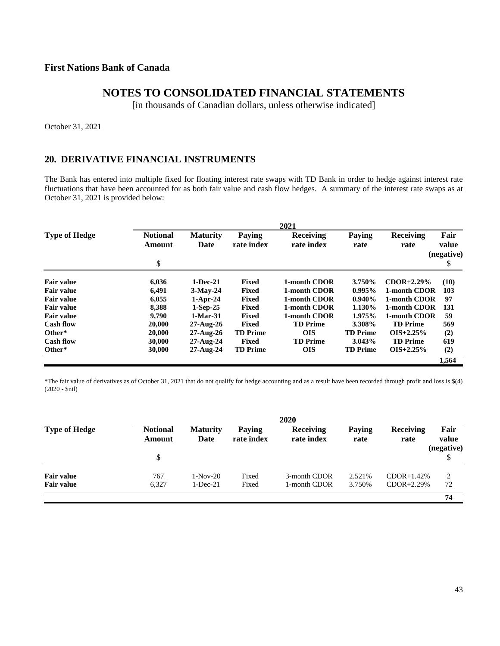[in thousands of Canadian dollars, unless otherwise indicated]

October 31, 2021

### **20. DERIVATIVE FINANCIAL INSTRUMENTS**

The Bank has entered into multiple fixed for floating interest rate swaps with TD Bank in order to hedge against interest rate fluctuations that have been accounted for as both fair value and cash flow hedges. A summary of the interest rate swaps as at October 31, 2021 is provided below:

|                      |                           |                         |                      | 2021                           |                 |                          |                             |
|----------------------|---------------------------|-------------------------|----------------------|--------------------------------|-----------------|--------------------------|-----------------------------|
| <b>Type of Hedge</b> | <b>Notional</b><br>Amount | <b>Maturity</b><br>Date | Paying<br>rate index | <b>Receiving</b><br>rate index | Paying<br>rate  | <b>Receiving</b><br>rate | Fair<br>value<br>(negative) |
|                      | \$                        |                         |                      |                                |                 |                          | \$                          |
| <b>Fair value</b>    | 6,036                     | $1-Dec-21$              | <b>Fixed</b>         | 1-month CDOR                   | 3.750%          | $CDOR+2.29%$             | (10)                        |
| <b>Fair value</b>    | 6.491                     | $3-Mav-24$              | <b>Fixed</b>         | 1-month CDOR                   | $0.995\%$       | 1-month CDOR             | 103                         |
| <b>Fair value</b>    | 6,055                     | $1-Apr-24$              | <b>Fixed</b>         | 1-month CDOR                   | $0.940\%$       | 1-month CDOR             | 97                          |
| <b>Fair value</b>    | 8,388                     | $1-Sep-25$              | Fixed                | 1-month CDOR                   | 1.130%          | 1-month CDOR             | 131                         |
| <b>Fair value</b>    | 9,790                     | $1-Mar-31$              | <b>Fixed</b>         | 1-month CDOR                   | 1.975%          | 1-month CDOR             | 59                          |
| <b>Cash flow</b>     | 20,000                    | $27-Au$ g-26            | <b>Fixed</b>         | <b>TD Prime</b>                | 3.308%          | <b>TD Prime</b>          | 569                         |
| Other*               | 20,000                    | $27-Aug-26$             | <b>TD Prime</b>      | <b>OIS</b>                     | <b>TD Prime</b> | $OIS + 2.25\%$           | (2)                         |
| <b>Cash flow</b>     | 30,000                    | 27-Aug-24               | Fixed                | <b>TD Prime</b>                | 3.043%          | <b>TD Prime</b>          | 619                         |
| Other*               | 30,000                    | 27-Aug-24               | <b>TD Prime</b>      | <b>OIS</b>                     | <b>TD Prime</b> | $OIS + 2.25\%$           | (2)                         |
|                      |                           |                         |                      |                                |                 |                          | 1,564                       |

\*The fair value of derivatives as of October 31, 2021 that do not qualify for hedge accounting and as a result have been recorded through profit and loss is \$(4) (2020 - \$nil)

|                      |                                        |                         |                      | <b>2020</b>                    |                |                   |                             |
|----------------------|----------------------------------------|-------------------------|----------------------|--------------------------------|----------------|-------------------|-----------------------------|
| <b>Type of Hedge</b> | <b>Notional</b><br><b>Amount</b><br>\$ | <b>Maturity</b><br>Date | Paving<br>rate index | <b>Receiving</b><br>rate index | Paying<br>rate | Receiving<br>rate | Fair<br>value<br>(negative) |
| <b>Fair value</b>    | 767                                    | $1-Nov-20$              | Fixed                | 3-month CDOR                   | 2.521%         | $CDOR+1.42%$      | 2                           |
| <b>Fair value</b>    | 6.327                                  | $1$ -Dec-21             | Fixed                | 1-month CDOR                   | 3.750%         | $CDOR+2.29%$      | 72                          |
|                      |                                        |                         |                      |                                |                |                   | 74                          |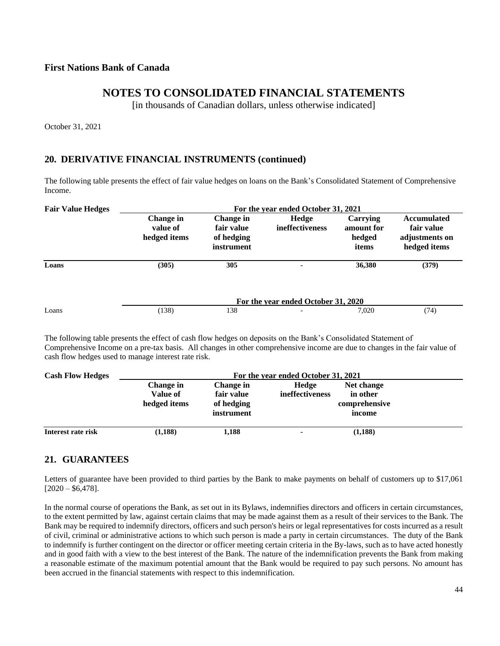[in thousands of Canadian dollars, unless otherwise indicated]

October 31, 2021

### **20. DERIVATIVE FINANCIAL INSTRUMENTS (continued)**

The following table presents the effect of fair value hedges on loans on the Bank's Consolidated Statement of Comprehensive Income.

| <b>Fair Value Hedges</b> |                                              | For the year ended October 31, 2021                 |                                     |                                           |                                                                    |  |  |
|--------------------------|----------------------------------------------|-----------------------------------------------------|-------------------------------------|-------------------------------------------|--------------------------------------------------------------------|--|--|
|                          | <b>Change in</b><br>value of<br>hedged items | Change in<br>fair value<br>of hedging<br>instrument | Hedge<br><i>ineffectiveness</i>     | Carrying<br>amount for<br>hedged<br>items | <b>Accumulated</b><br>fair value<br>adjustments on<br>hedged items |  |  |
| Loans                    | (305)                                        | 305                                                 |                                     | 36,380                                    | (379)                                                              |  |  |
|                          |                                              |                                                     | For the year ended October 31, 2020 |                                           |                                                                    |  |  |
| Loans                    | (138)                                        | 138                                                 |                                     | 7.020                                     | (74)                                                               |  |  |

The following table presents the effect of cash flow hedges on deposits on the Bank's Consolidated Statement of Comprehensive Income on a pre-tax basis. All changes in other comprehensive income are due to changes in the fair value of cash flow hedges used to manage interest rate risk.

| <b>Cash Flow Hedges</b> | For the year ended October 31, 2021   |                                                     |                                 |                                                   |  |  |
|-------------------------|---------------------------------------|-----------------------------------------------------|---------------------------------|---------------------------------------------------|--|--|
|                         | Change in<br>Value of<br>hedged items | Change in<br>fair value<br>of hedging<br>instrument | Hedge<br><i>ineffectiveness</i> | Net change<br>in other<br>comprehensive<br>income |  |  |
| Interest rate risk      | (1, 188)                              | 1,188                                               |                                 | (1, 188)                                          |  |  |

### **21. GUARANTEES**

Letters of guarantee have been provided to third parties by the Bank to make payments on behalf of customers up to \$17,061  $[2020 - $6,478]$ .

In the normal course of operations the Bank, as set out in its Bylaws, indemnifies directors and officers in certain circumstances, to the extent permitted by law, against certain claims that may be made against them as a result of their services to the Bank. The Bank may be required to indemnify directors, officers and such person's heirs or legal representatives for costs incurred as a result of civil, criminal or administrative actions to which such person is made a party in certain circumstances. The duty of the Bank to indemnify is further contingent on the director or officer meeting certain criteria in the By-laws, such as to have acted honestly and in good faith with a view to the best interest of the Bank. The nature of the indemnification prevents the Bank from making a reasonable estimate of the maximum potential amount that the Bank would be required to pay such persons. No amount has been accrued in the financial statements with respect to this indemnification.